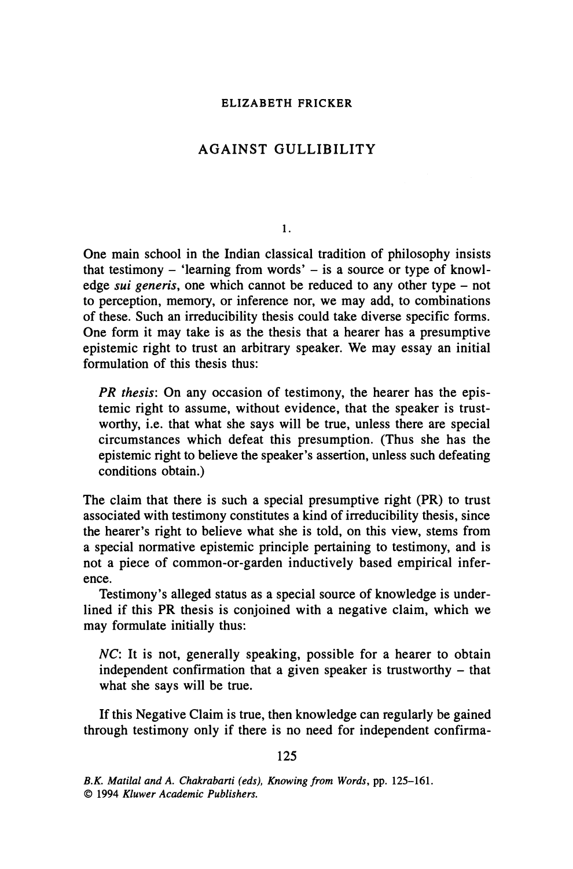# AGAINST GULLIBILITY

1.

One main school in the Indian classical tradition of philosophy insists that testimony  $-$  'learning from words'  $-$  is a source or type of knowledge *sui generis*, one which cannot be reduced to any other type – not to perception, memory, or inference nor, we may add, to combinations of these. Such an irreducibility thesis could take diverse specific forms. One form it may take is as the thesis that a hearer has a presumptive epistemic right to trust an arbitrary speaker. We may essay an initial formulation of this thesis thus:

*PR thesis:* On any occasion of testimony, the hearer has the epistemic right to assume, without evidence, that the speaker is trustworthy, i.e. that what she says will be true, unless there are special circumstances which defeat this presumption. (Thus she has the epistemic right to believe the speaker's assertion, unless such defeating conditions obtain.)

The claim that there is such a special presumptive right (PR) to trust associated with testimony constitutes a kind of irreducibility thesis, since the hearer's right to believe what she is told, on this view, stems from a special normative epistemic principle pertaining to testimony, and is not a piece of common-or-garden inductively based empirical inference.

Testimony's alleged status as a special source of knowledge is underlined if this PR thesis is conjoined with a negative claim, which we may formulate initially thus:

*NC*: It is not, generally speaking, possible for a hearer to obtain independent confirmation that a given speaker is trustworthy  $-$  that what she says will be true.

If this Negative Claim is true, then knowledge can regularly be gained through testimony only if there is no need for independent confirma-

*B.K. Matilal and A. Chakrabarti (eds), Knowing from Words,* pp. 125-161. © 1994 *Kluwer Academic Publishers.*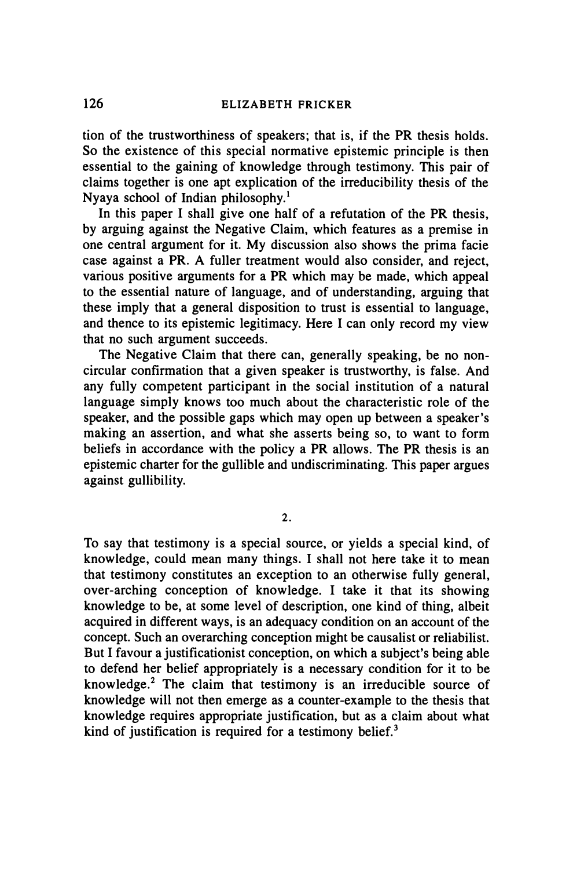tion of the trustworthiness of speakers; that is, if the PR thesis holds. So the existence of this special normative epistemic principle is then essential to the gaining of knowledge through testimony. This pair of claims together is one apt explication of the irreducibility thesis of the Nyaya school of Indian philosophy.<sup>1</sup>

In this paper I shall give one half of a refutation of the PR thesis, by arguing against the Negative Claim, which features as a premise in one central argument for it. My discussion also shows the prima facie case against a PR. A fuller treatment would also consider, and reject, various positive arguments for a PR which may be made, which appeal to the essential nature of language, and of understanding, arguing that these imply that a general disposition to trust is essential to language, and thence to its epistemic legitimacy. Here I can only record my view that no such argument succeeds.

The Negative Claim that there can, generally speaking, be no noncircular confirmation that a given speaker is trustworthy, is false. And any fully competent participant in the social institution of a natural language simply knows too much about the characteristic role of the speaker, and the possible gaps which may open up between a speaker's making an assertion, and what she asserts being so, to want to form beliefs in accordance with the policy a PR allows. The PR thesis is an epistemic charter for the gullible and undiscriminating. This paper argues against gullibility.

2.

To say that testimony is a special source, or yields a special kind, of knowledge, could mean many things. I shall not here take it to mean that testimony constitutes an exception to an otherwise fully general, over-arching conception of knowledge. I take it that its showing knowledge to be, at some level of description, one kind of thing, albeit acquired in different ways, is an adequacy condition on an account of the concept. Such an overarching conception might be causalist or reliabilist. But I favour a justificationist conception, on which a subject's being able to defend her belief appropriately is a necessary condition for it to be knowledge.<sup>2</sup> The claim that testimony is an irreducible source of knowledge will not then emerge as a counter-example to the thesis that knowledge requires appropriate justification, but as a claim about what kind of justification is required for a testimony belief.<sup>3</sup>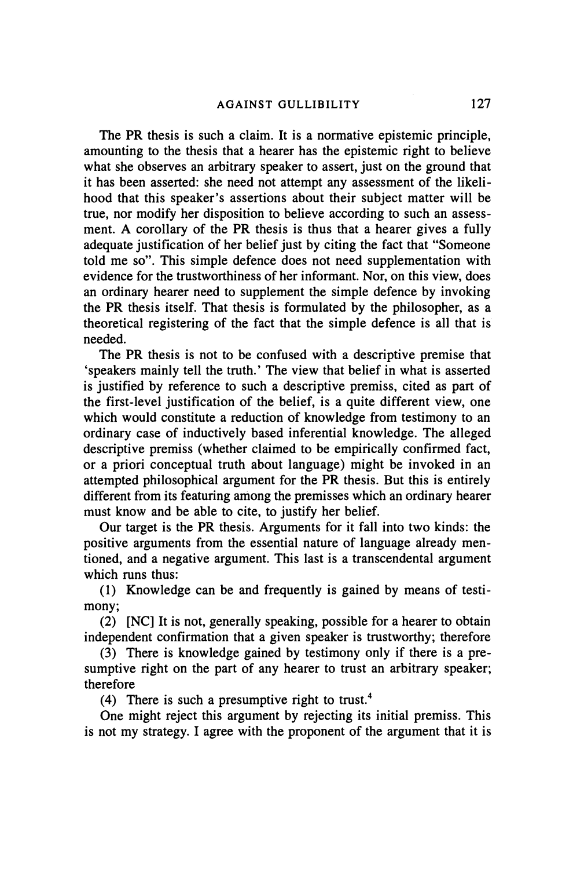The PR thesis is such a claim. It is a normative epistemic principle, amounting to the thesis that a hearer has the epistemic right to believe what she observes an arbitrary speaker to assert, just on the ground that it has been asserted: she need not attempt any assessment of the likelihood that this speaker's assertions about their subject matter will be true, nor modify her disposition to believe according to such an assessment. A corollary of the PR thesis is thus that a hearer gives a fully adequate justification of her belief just by citing the fact that "Someone told me so". This simple defence does not need supplementation with evidence for the trustworthiness of her informant. Nor, on this view, does an ordinary hearer need to supplement the simple defence by invoking the PR thesis itself. That thesis is formulated by the philosopher, as a theoretical registering of the fact that the simple defence is all that is needed.

The PR thesis is not to be confused with a descriptive premise that 'speakers mainly tell the truth.' The view that belief in what is asserted is justified by reference to such a descriptive premiss, cited as part of the first-level justification of the belief, is a quite different view, one which would constitute a reduction of knowledge from testimony to an ordinary case of inductively based inferential knowledge. The alleged descriptive premiss (whether claimed to be empirically confirmed fact, or a priori conceptual truth about language) might be invoked in an attempted philosophical argument for the PR thesis. But this is entirely different from its featuring among the premisses which an ordinary hearer must know and be able to cite, to justify her belief.

Our target is the PR thesis. Arguments for it fall into two kinds: the positive arguments from the essential nature of language already mentioned, and a negative argument. This last is a transcendental argument which runs thus:

(1) Knowledge can be and frequently is gained by means of testimony;

(2) [NC] It is not, generally speaking, possible for a hearer to obtain independent confirmation that a given speaker is trustworthy; therefore

(3) There is knowledge gained by testimony only if there is a presumptive right on the part of any hearer to trust an arbitrary speaker; therefore

(4) There is such a presumptive right to trust.<sup>4</sup>

One might reject this argument by rejecting its initial premiss. This is not my strategy. I agree with the proponent of the argument that it is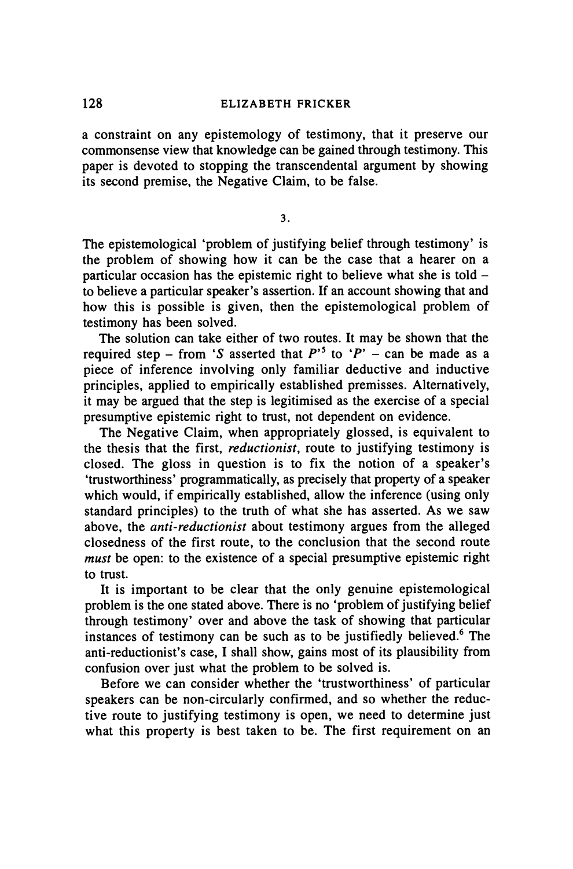# 128 ELIZABETH FRICKER

a constraint on any epistemology of testimony, that it preserve our commonsense view that knowledge can be gained through testimony. This paper is devoted to stopping the transcendental argument by showing its second premise, the Negative Claim, to be false.

3.

The epistemological 'problem of justifying belief through testimony' is the problem of showing how it can be the case that a hearer on a particular occasion has the epistemic right to believe what she is told  $$ to believe a particular speaker's assertion. If an account showing that and how this is possible is given, then the epistemological problem of testimony has been solved.

The solution can take either of two routes. It may be shown that the required step – from 'S asserted that  $P'$ <sup>5</sup> to ' $P'$  – can be made as a piece of inference involving only familiar deductive and inductive principles, applied to empirically established premisses. Alternatively, it may be argued that the step is legitimised as the exercise of a special presumptive epistemic right to trust, not dependent on evidence.

The Negative Claim, when appropriately glossed, is equivalent to the thesis that the first, *reductionist,* route to justifying testimony is closed. The gloss in question is to fix the notion of a speaker's 'trustworthiness' programmatically, as precisely that property of a speaker which would, if empirically established, allow the inference (using only standard principles) to the truth of what she has asserted. As we saw above, the *anti-reductionist* about testimony argues from the alleged closedness of the first route, to the conclusion that the second route *must* be open: to the existence of a special presumptive epistemic right to trust.

It is important to be clear that the only genuine epistemological problem is the one stated above. There is no 'problem of justifying belief through testimony' over and above the task of showing that particular instances of testimony can be such as to be justifiedly believed.<sup>6</sup> The anti-reductionist's case, I shall show, gains most of its plausibility from confusion over just what the problem to be solved is.

Before we can consider whether the 'trustworthiness' of particular speakers can be non-circularly confirmed, and so whether the reductive route to justifying testimony is open, we need to determine just what this property is best taken to be. The first requirement on an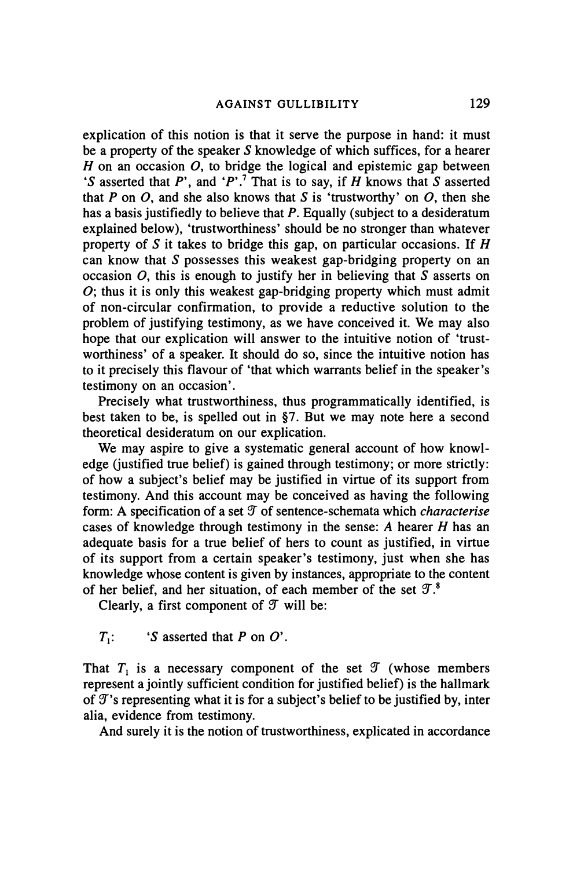explication of this notion is that it serve the purpose in hand: it must be a property of the speaker S knowledge of which suffices, for a hearer *H* on an occasion *O*, to bridge the logical and epistemic gap between 'S asserted that *P',* and *'P'.'* That is to say, if *H* knows that S asserted that *P* on *O*, and she also knows that *S* is 'trustworthy' on *O*, then she has a basis justifiedly to believe that *P*. Equally (subject to a desideratum explained below), 'trustworthiness' should be no stronger than whatever property of S it takes to bridge this gap, on particular occasions. If *H*  can know that S possesses this weakest gap-bridging property on an occasion *0,* this is enough to justify her in believing that S asserts on *0;* thus it is only this weakest gap-bridging property which must admit of non-circular confirmation, to provide a reductive solution to the problem of justifying testimony, as we have conceived it. We may also hope that our explication will answer to the intuitive notion of 'trustworthiness' of a speaker. It should do so, since the intuitive notion has to it precisely this flavour of 'that which warrants belief in the speaker's testimony on an occasion'.

Precisely what trustworthiness, thus programmatically identified, is best taken to be, is spelled out in §7. But we may note here a second theoretical desideratum on our explication.

We may aspire to give a systematic general account of how knowledge (justified true belief) is gained through testimony; or more strictly: of how a subject's belief may be justified in virtue of its support from testimony. And this account may be conceived as having the following form: A specification of a set  $\mathcal T$  of sentence-schemata which *characterise* cases of knowledge through testimony in the sense: *A* hearer *H* has an adequate basis for a true belief of hers to count as justified, in virtue of its support from a certain speaker's testimony, just when she has knowledge whose content is given by instances, appropriate to the content of her belief, and her situation, of each member of the set  $\mathcal{T}$ .<sup>8</sup>

Clearly, a first component of  $\mathcal T$  will be:

*T1:* 'S asserted that *P* on *0'.* 

That  $T_1$  is a necessary component of the set  $\mathcal T$  (whose members represent a jointly sufficient condition for justified belief) is the hallmark of  $\mathcal T$ 's representing what it is for a subject's belief to be justified by, inter alia, evidence from testimony.

And surely it is the notion of trustworthiness, explicated in accordance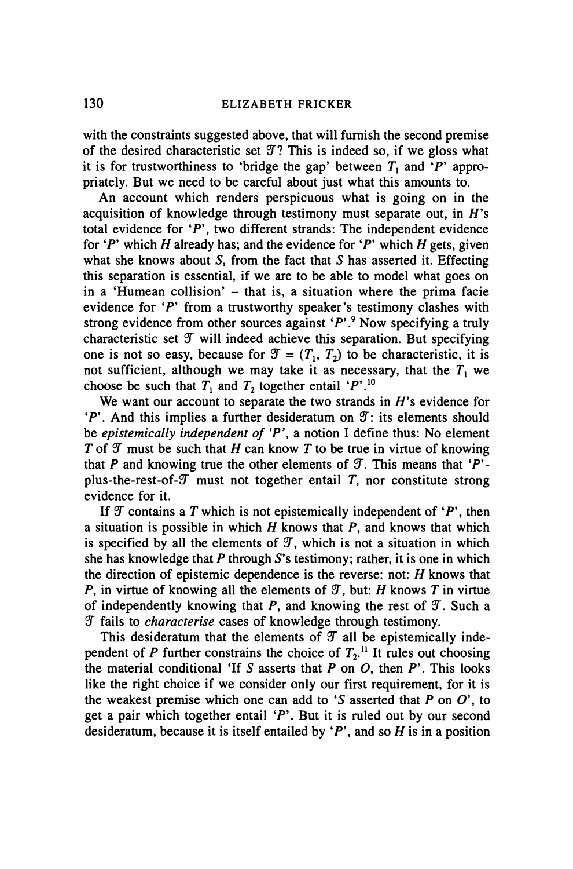# 130 ELIZABETH FRICKER

with the constraints suggested above, that will furnish the second premise of the desired characteristic set  $\mathcal{T}$ ? This is indeed so, if we gloss what it is for trustworthiness to 'bridge the gap' between  $T_1$  and  $\overline{P}$ ' appropriately. But we need to be careful about just what this amounts to.

An account which renders perspicuous what is going on in the acquisition of knowledge through testimony must separate out, in *H's*  total evidence for *'P',* two different strands: The independent evidence for *'P'* which *H* already has; and the evidence for *'P'* which *H* gets, given what she knows about S, from the fact that  $S$  has asserted it. Effecting this separation is essential, if we are to be able to model what goes on in a 'Humean collision' - that is, a situation where the prima facie evidence for *'P'* from a trustworthy speaker's testimony clashes with strong evidence from other sources against 'P'.<sup>9</sup> Now specifying a truly characteristic set  $\mathcal T$  will indeed achieve this separation. But specifying one is not so easy, because for  $\mathcal{T} = (T_1, T_2)$  to be characteristic, it is not sufficient, although we may take it as necessary, that the  $T<sub>i</sub>$  we choose be such that  $\overline{T_1}$  and  $\overline{T_2}$  together entail 'P'.<sup>10</sup>

We want our account to separate the two strands in *H's* evidence for *'P'*. And this implies a further desideratum on  $\mathcal{T}$ : its elements should be *epistemically independent of 'P',* a notion I define thus: No element *T* of  $\mathcal T$  must be such that *H* can know *T* to be true in virtue of knowing that *P* and knowing true the other elements of  $\mathcal{T}$ . This means that *'P'*plus-the-rest-of- $\mathcal T$  must not together entail  $T$ , nor constitute strong evidence for it.

If  $\mathcal T$  contains a  $T$  which is not epistemically independent of *'P'*, then a situation is possible in which *H* knows that *P,* and knows that which is specified by all the elements of  $\mathcal{T}$ , which is not a situation in which she has knowledge that *P* through S's testimony; rather, it is one in which the direction of epistemic dependence is the reverse: not: *H* knows that *P*, in virtue of knowing all the elements of *T*, but: *H* knows *T* in virtue of independently knowing that  $P$ , and knowing the rest of  $\mathcal{T}$ . Such a *T* fails to *characterise* cases of knowledge through testimony.

This desideratum that the elements of  $\mathcal{T}$  all be epistemically independent of *P* further constrains the choice of  $T_2$ <sup>11</sup> It rules out choosing the material conditional 'If S asserts that *P* on *0,* then *P'.* This looks like the right choice if we consider only our first requirement, for it is the weakest premise which one can add to'S asserted that *P* on *0',* to get a pair which together entail *'P'.* But it is ruled out by our second desideratum, because it is itself entailed by *'P',* and so *H* is in a position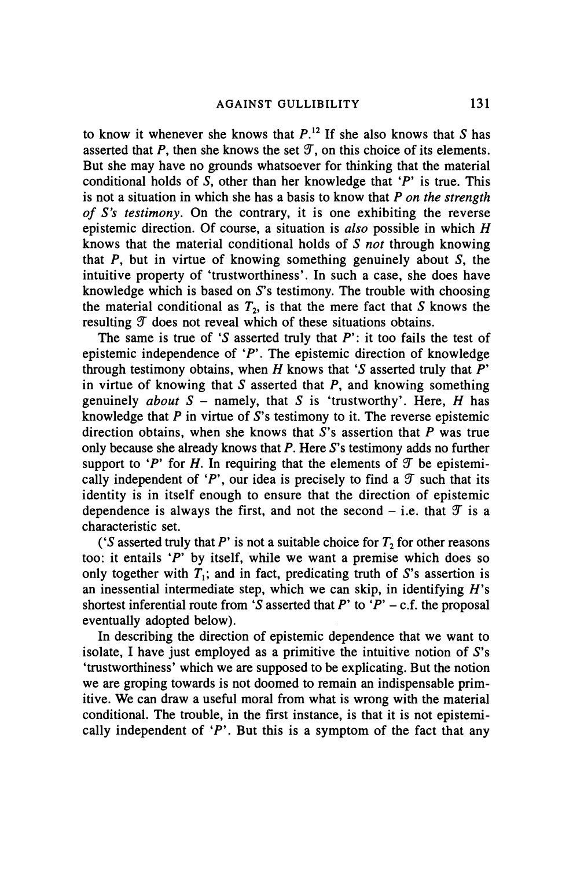to know it whenever she knows that  $P<sup>12</sup>$  If she also knows that S has asserted that  $P$ , then she knows the set  $\mathcal T$ , on this choice of its elements. But she may have no grounds whatsoever for thinking that the material conditional holds of S, other than her knowledge that *'P'* is true. This is not a situation in which she has a basis to know that *P on the strength of S's testimony.* On the contrary, it is one exhibiting the reverse epistemic direction. Of course, a situation is *also* possible in which *H*  knows that the material conditional holds of S *not* through knowing that *P,* but in virtue of knowing something genuinely about S, the intuitive property of 'trustworthiness'. In such a case, she does have knowledge which is based on S's testimony. The trouble with choosing the material conditional as  $T_2$ , is that the mere fact that S knows the resulting *?I* does not reveal which of these situations obtains.

The same is true of 'S asserted truly that *P*': it too fails the test of epistemic independence of *'P'.* The epistemic direction of knowledge through testimony obtains, when  $H$  knows that 'S asserted truly that  $\overline{P}$ ' in virtue of knowing that S asserted that *P,* and knowing something genuinely *about*  $S$  – namely, that  $S$  is 'trustworthy'. Here,  $H$  has knowledge that *P* in virtue of S's testimony to it. The reverse epistemic direction obtains, when she knows that S's assertion that *P* was true only because she already knows that *P.* Here S's testimony adds no further support to 'P' for *H*. In requiring that the elements of  $\mathcal T$  be epistemically independent of  $\mathcal{P}'$ , our idea is precisely to find a  $\mathcal{T}$  such that its identity is in itself enough to ensure that the direction of epistemic dependence is always the first, and not the second  $-$  i.e. that  $\mathcal T$  is a characteristic set.

('S asserted truly that  $P'$  is not a suitable choice for  $T_2$  for other reasons too: it entails *'P'* by itself, while we want a premise which does so only together with  $T_1$ ; and in fact, predicating truth of S's assertion is an inessential intermediate step, which we can skip, in identifying *H's*  shortest inferential route from 'S asserted that  $P$ ' to ' $P'$  – c.f. the proposal eventually adopted below).

In describing the direction of epistemic dependence that we want to isolate. I have just employed as a primitive the intuitive notion of  $S$ 's 'trustworthiness' which we are supposed to be explicating. But the notion we are groping towards is not doomed to remain an indispensable primitive. We can draw a useful moral from what is wrong with the material conditional. The trouble, in the first instance, is that it is not epistemically independent of 'P'. But this is a symptom of the fact that any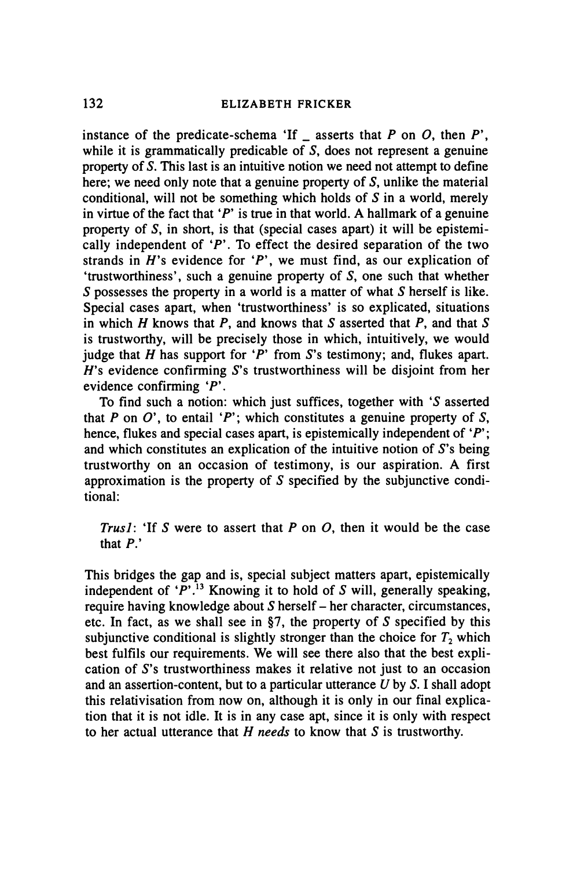instance of the predicate-schema 'If \_ asserts that *P* on *0,* then *P',*  while it is grammatically predicable of S, does not represent a genuine property of  $S$ . This last is an intuitive notion we need not attempt to define here; we need only note that a genuine property of S, unlike the material conditional, will not be something which holds of S in a world, merely in virtue of the fact that *'P'* is true in that world. A hallmark of a genuine property of S, in short, is that (special cases apart) it will be epistemically independent of *'P'.* To effect the desired separation of the two strands in *H's* evidence for *'P',* we must find, as our explication of 'trustworthiness', such a genuine property of S, one such that whether S possesses the property in a world is a matter of what S herself is like. Special cases apart, when 'trustworthiness' is so explicated, situations in which *H* knows that *P,* and knows that S asserted that *P,* and that S is trustworthy, will be precisely those in which, intuitively, we would judge that *H* has support for *'P'* from S's testimony; and, flukes apart. *H*'s evidence confirming S's trustworthiness will be disjoint from her evidence confirming *'P'.* 

To find such a notion: which just suffices, together with'S asserted that  $P$  on  $O'$ , to entail ' $P'$ '; which constitutes a genuine property of  $S$ , hence, flukes and special cases apart, is epistemically independent of *'P';*  and which constitutes an explication of the intuitive notion of S's being trustworthy on an occasion of testimony, is our aspiration. A first approximation is the property of S specified by the subjunctive conditional:

*Trusl:* 'If S were to assert that *P* on *0,* then it would be the case that  $P$ .'

This bridges the gap and is, special subject matters apart, epistemically independent of  $\mathbf{P}$ <sup>13</sup> Knowing it to hold of S will, generally speaking, require having knowledge about  $S$  herself  $-$  her character, circumstances, etc. In fact, as we shall see in  $\S7$ , the property of S specified by this subjunctive conditional is slightly stronger than the choice for  $T_2$  which best fulfils our requirements. We will see there also that the best explication of S's trustworthiness makes it relative not just to an occasion and an assertion-content, but to a particular utterance *U* by S. I shall adopt this relativisation from now on, although it is only in our final explication that it is not idle. It is in any case apt, since it is only with respect to her actual utterance that *H needs* to know that S is trustworthy.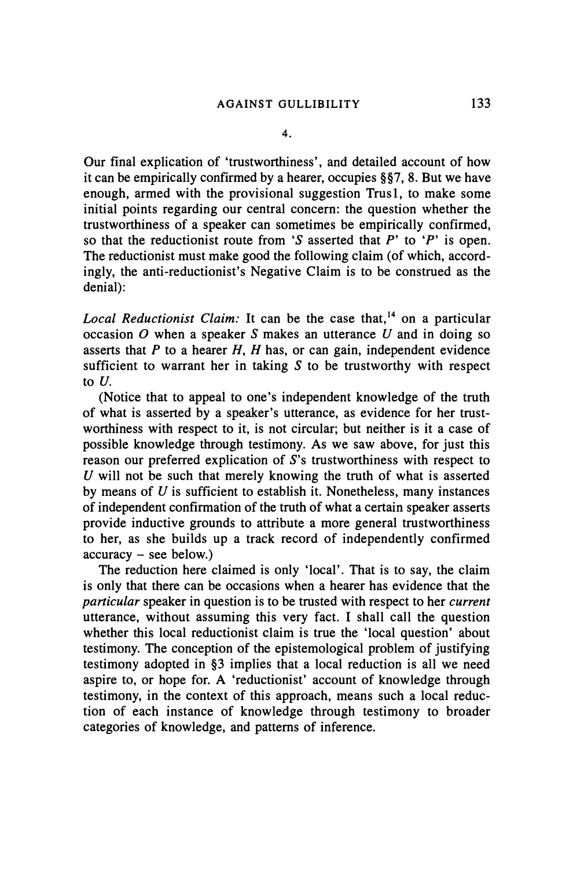4.

Our final explication of 'trustworthiness', and detailed account of how it can be empirically confirmed by a hearer, occupies §§7, 8. But we have enough, armed with the provisional suggestion Trusl, to make some initial points regarding our central concern: the question whether the trustworthiness of a speaker can sometimes be empirically confirmed, so that the reductionist route from'S asserted that *P'* to *'P'* is open. The reductionist must make good the following claim (of which, accordingly, the anti-reductionist's Negative Claim is to be construed as the denial):

*Local Reductionist Claim:* It can be the case that,<sup>14</sup> on a particular occasion *0* when a speaker S makes an utterance *U* and in doing so asserts that *P* to a hearer *H, H* has, or can gain, independent evidence sufficient to warrant her in taking  $S$  to be trustworthy with respect to *U.* 

(Notice that to appeal to one's independent knowledge of the truth of what is asserted by a speaker's utterance, as evidence for her trustworthiness with respect to it, is not circular; but neither is it a case of possible knowledge through testimony. As we saw above, for just this reason our preferred explication of S's trustworthiness with respect to *U* will not be such that merely knowing the truth of what is asserted by means of *U* is sufficient to establish it. Nonetheless, many instances of independent confirmation of the truth of what a certain speaker asserts provide inductive grounds to attribute a more general trustworthiness to her, as she builds up a track record of independently confirmed  $accuracy - see below.$ 

The reduction here claimed is only 'local'. That is to say, the claim is only that there can be occasions when a hearer has evidence that the *particular* speaker in question is to be trusted with respect to her *current*  utterance, without assuming this very fact. I shall call the question whether this local reductionist claim is true the 'local question' about testimony. The conception of the epistemological problem of justifying testimony adopted in §3 implies that a local reduction is all we need aspire to, or hope for. A 'reductionist' account of knowledge through testimony, in the context of this approach, means such a local reduction of each instance of knowledge through testimony to broader categories of knowledge, and patterns of inference.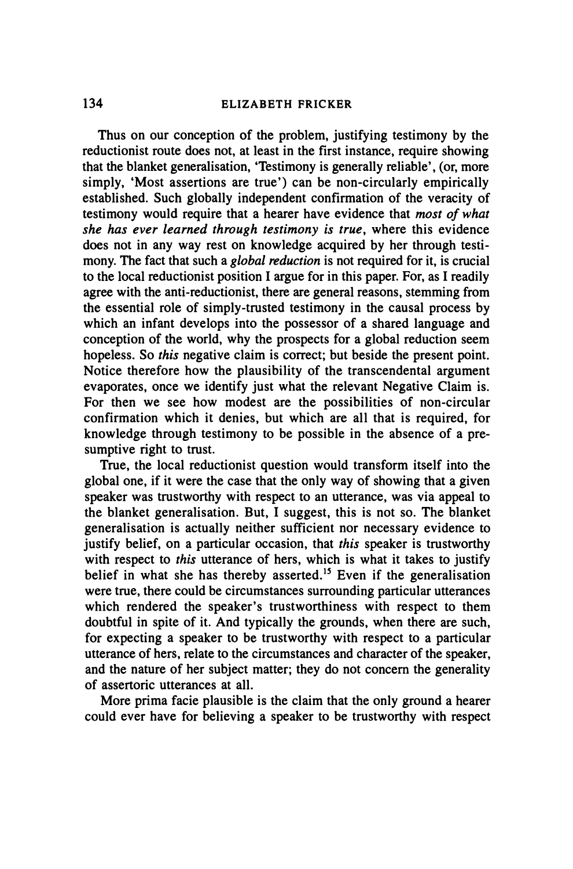Thus on our conception of the problem, justifying testimony by the reductionist route does not, at least in the first instance, require showing that the blanket generalisation, 'Testimony is generally reliable', (or, more simply, 'Most assertions are true') can be non-circularly empirically established. Such globally independent confirmation of the veracity of testimony would require that a hearer have evidence that *most of what she has ever learned through testimony is true,* where this evidence does not in any way rest on knowledge acquired by her through testimony. The fact that such a *global reduction* is not required for it, is crucial to the local reductionist position I argue for in this paper. For, as I readily agree with the anti-reductionist, there are general reasons, stemming from the essential role of simply-trusted testimony in the causal process by which an infant develops into the possessor of a shared language and conception of the world, why the prospects for a global reduction seem hopeless. So *this* negative claim is correct; but beside the present point. Notice therefore how the plausibility of the transcendental argument evaporates, once we identify just what the relevant Negative Claim is. For then we see how modest are the possibilities of non-circular confirmation which it denies, but which are all that is required, for knowledge through testimony to be possible in the absence of a presumptive right to trust.

True, the local reductionist question would transform itself into the global one, if it were the case that the only way of showing that a given speaker was trustworthy with respect to an utterance, was via appeal to the blanket generalisation. But, I suggest, this is not so. The blanket generalisation is actually neither sufficient nor necessary evidence to justify belief, on a particular occasion, that *this* speaker is trustworthy with respect to *this* utterance of hers, which is what it takes to justify belief in what she has thereby asserted.<sup>15</sup> Even if the generalisation were true, there could be circumstances surrounding particular utterances which rendered the speaker's trustworthiness with respect to them doubtful in spite of it. And typically the grounds, when there are such, for expecting a speaker to be trustworthy with respect to a particular utterance of hers, relate to the circumstances and character of the speaker, and the nature of her subject matter; they do not concern the generality of assertoric utterances at all.

More prima facie plausible is the claim that the only ground a hearer could ever have for believing a speaker to be trustworthy with respect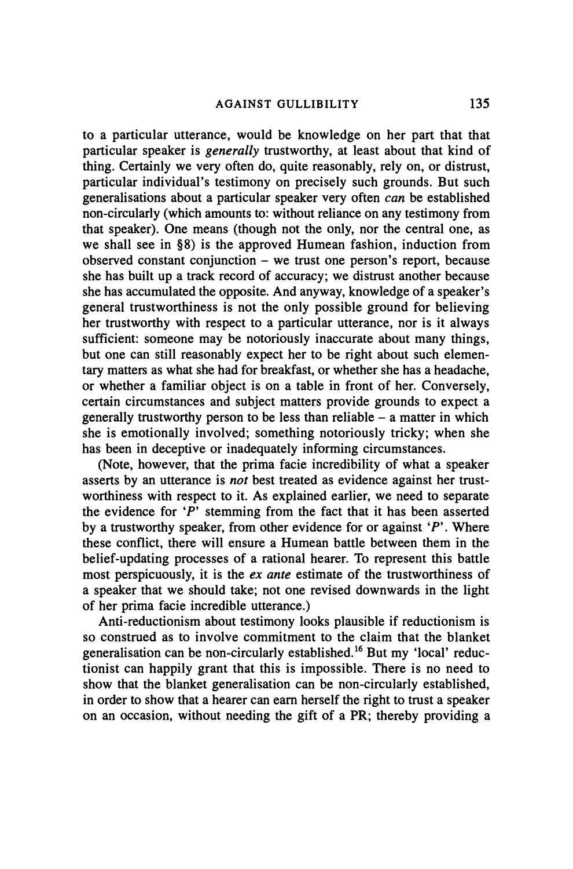to a particular utterance, would be knowledge on her part that that particular speaker is *generally* trustworthy, at least about that kind of thing. Certainly we very often do, quite reasonably, rely on, or distrust, particular individual's testimony on precisely such grounds. But such generalisations about a particular speaker very often *can* be established non-circularly (which amounts to: without reliance on any testimony from that speaker). One means (though not the only, nor the central one, as we shall see in §8) is the approved Humean fashion, induction from observed constant conjunction  $-$  we trust one person's report, because she has built up a track record of accuracy; we distrust another because she has accumulated the opposite. And anyway, knowledge of a speaker's general trustworthiness is not the only possible ground for believing her trustworthy with respect to a particular utterance, nor is it always sufficient: someone may be notoriously inaccurate about many things, but one can still reasonably expect her to be right about such elementary matters as what she had for breakfast, or whether she has a headache, or whether a familiar object is on a table in front of her. Conversely, certain circumstances and subject matters provide grounds to expect a generally trustworthy person to be less than reliable  $-$  a matter in which she is emotionally involved; something notoriously tricky; when she has been in deceptive or inadequately informing circumstances.

(Note, however, that the prima facie incredibility of what a speaker asserts by an utterance is *not* best treated as evidence against her trustworthiness with respect to it. As explained earlier, we need to separate the evidence for *'P'* stemming from the fact that it has been asserted by a trustworthy speaker, from other evidence for or against *'P'.* Where these conflict, there will ensure a Humean battle between them in the belief-updating processes of a rational hearer. To represent this battle most perspicuously, it is the *ex ante* estimate of the trustworthiness of a speaker that we should take; not one revised downwards in the light of her prima facie incredible utterance.)

Anti-reductionism about testimony looks plausible if reductionism is so construed as to involve commitment to the claim that the blanket generalisation can be non-circularly established.16 But my 'local' reductionist can happily grant that this is impossible. There is no need to show that the blanket generalisation can be non-circularly established, in order to show that a hearer can earn herself the right to trust a speaker on an occasion, without needing the gift of a PR; thereby providing a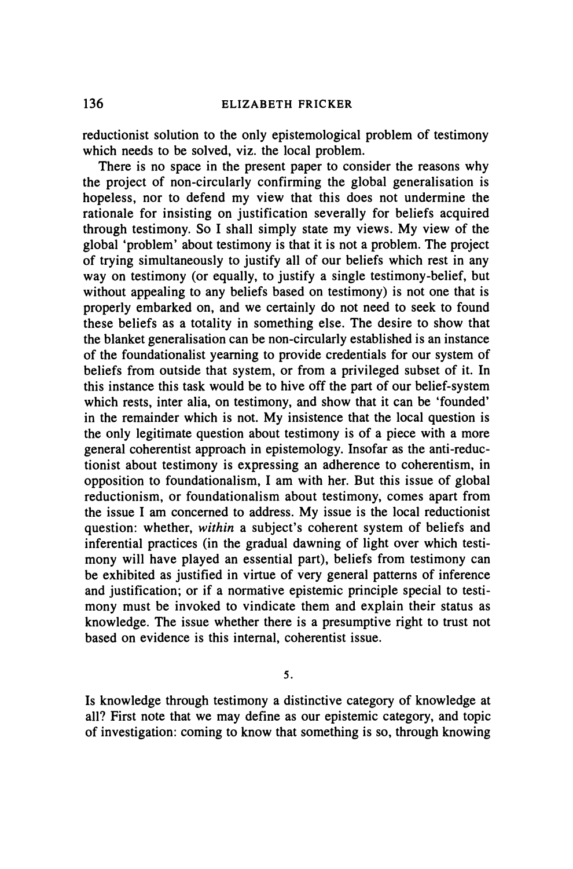reductionist solution to the only epistemological problem of testimony which needs to be solved, viz. the local problem.

There is no space in the present paper to consider the reasons why the project of non-circularly confirming the global generalisation is hopeless, nor to defend my view that this does not undermine the rationale for insisting on justification severally for beliefs acquired through testimony. So I shall simply state my views. My view of the global 'problem' about testimony is that it is not a problem. The project of trying simultaneously to justify all of our beliefs which rest in any way on testimony (or equally, to justify a single testimony-belief, but without appealing to any beliefs based on testimony) is not one that is properly embarked on, and we certainly do not need to seek to found these beliefs as a totality in something else. The desire to show that the blanket generalisation can be non-circularly established is an instance of the foundationalist yearning to provide credentials for our system of beliefs from outside that system, or from a privileged subset of it. In this instance this task would be to hive off the part of our belief-system which rests, inter alia, on testimony, and show that it can be 'founded' in the remainder which is not. My insistence that the local question is the only legitimate question about testimony is of a piece with a more general coherentist approach in epistemology. Insofar as the anti-reductionist about testimony is expressing an adherence to coherentism, in opposition to foundationalism, I am with her. But this issue of global reductionism, or foundationalism about testimony, comes apart from the issue I am concerned to address. My issue is the local reductionist question: whether, *within* a subject's coherent system of beliefs and inferential practices (in the gradual dawning of light over which testimony will have played an essential part), beliefs from testimony can be exhibited as justified in virtue of very general patterns of inference and justification; or if a normative epistemic principle special to testimony must be invoked to vindicate them and explain their status as knowledge. The issue whether there is a presumptive right to trust not based on evidence is this internal, coherentist issue.

*5.* 

Is knowledge through testimony a distinctive category of knowledge at all? First note that we may define as our epistemic category, and topic of investigation: coming to know that something is so, through knowing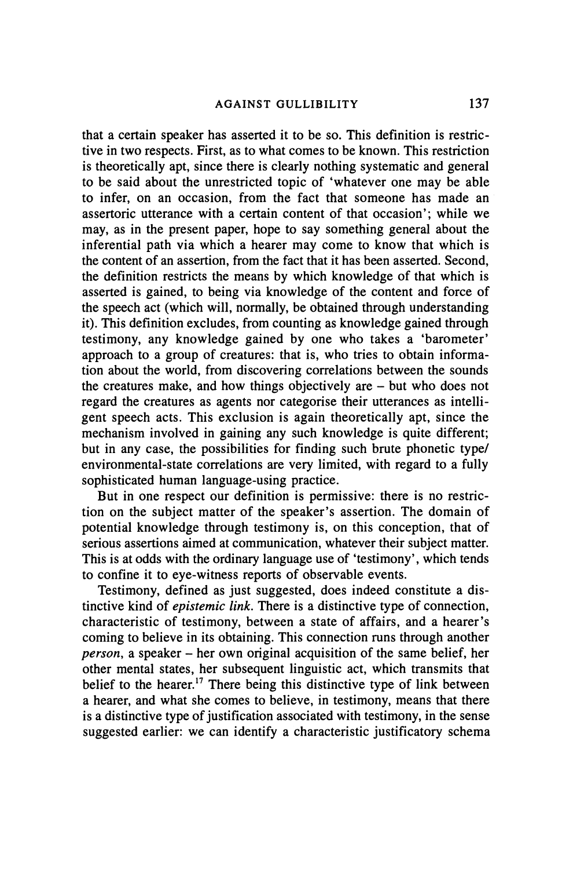that a certain speaker has asserted it to be so. This definition is restrictive in two respects. First, as to what comes to be known. This restriction is theoretically apt, since there is clearly nothing systematic and general to be said about the unrestricted topic of 'whatever one may be able to infer, on an occasion, from the fact that someone has made an assertoric utterance with a certain content of that occasion'; while we may, as in the present paper, hope to say something general about the inferential path via which a hearer may come to know that which is the content of an assertion, from the fact that it has been asserted. Second, the definition restricts the means by which knowledge of that which is asserted is gained, to being via knowledge of the content and force of the speech act (which will, normally, be obtained through understanding it). This definition excludes, from counting as knowledge gained through testimony, any knowledge gained by one who takes a 'barometer' approach to a group of creatures: that is, who tries to obtain information about the world, from discovering correlations between the sounds the creatures make, and how things objectively are - but who does not regard the creatures as agents nor categorise their utterances as intelligent speech acts. This exclusion is again theoretically apt, since the mechanism involved in gaining any such knowledge is quite different; but in any case, the possibilities for finding such brute phonetic type/ environmental-state correlations are very limited, with regard to a fully sophisticated human language-using practice.

But in one respect our definition is permissive: there is no restriction on the subject matter of the speaker's assertion. The domain of potential knowledge through testimony is, on this conception, that of serious assertions aimed at communication, whatever their subject matter. This is at odds with the ordinary language use of 'testimony', which tends to confine it to eye-witness reports of observable events.

Testimony, defined as just suggested, does indeed constitute a distinctive kind of *epistemic link.* There is a distinctive type of connection, characteristic of testimony, between a state of affairs, and a hearer's coming to believe in its obtaining. This connection runs through another *person,* a speaker - her own original acquisition of the same belief, her other mental states, her subsequent linguistic act, which transmits that belief to the hearer.<sup>17</sup> There being this distinctive type of link between a hearer, and what she comes to believe, in testimony, means that there is a distinctive type of justification associated with testimony, in the sense suggested earlier: we can identify a characteristic justificatory schema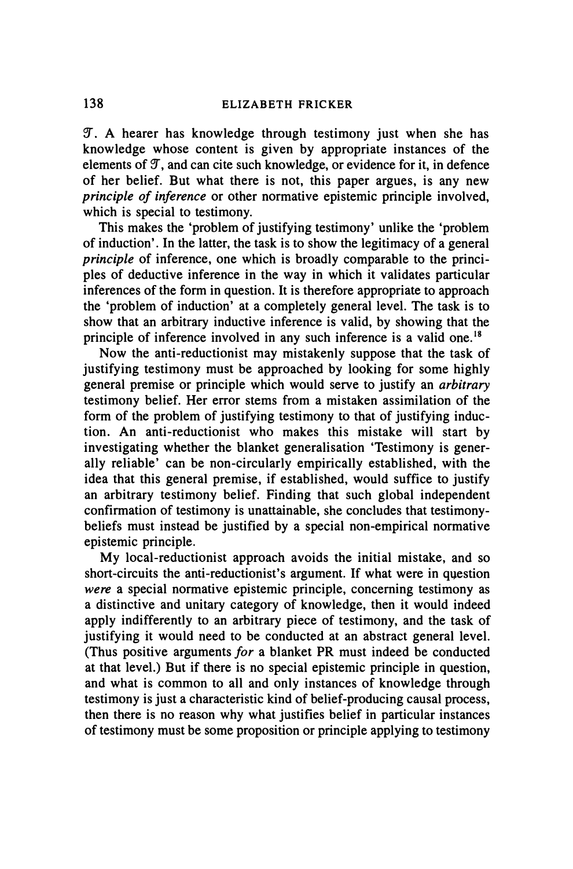$\mathcal{T}$ . A hearer has knowledge through testimony just when she has knowledge whose content is given by appropriate instances of the elements of  $\mathcal{T}$ , and can cite such knowledge, or evidence for it, in defence of her belief. But what there is not, this paper argues, is any new *principle of inference* or other normative epistemic principle involved, which is special to testimony.

This makes the 'problem of justifying testimony' unlike the 'problem of induction'. In the latter, the task is to show the legitimacy of a general *principle* of inference, one which is broadly comparable to the principles of deductive inference in the way in which it validates particular inferences of the form in question. It is therefore appropriate to approach the 'problem of induction' at a completely general level. The task is to show that an arbitrary inductive inference is valid, by showing that the principle of inference involved in any such inference is a valid one.<sup>18</sup>

Now the anti-reductionist may mistakenly suppose that the task of justifying testimony must be approached by looking for some highly general premise or principle which would serve to justify an *arbitrary*  testimony belief. Her error stems from a mistaken assimilation of the form of the problem of justifying testimony to that of justifying induction. An anti-reductionist who makes this mistake will start by investigating whether the blanket generalisation 'Testimony is generally reliable' can be non-circularly empirically established, with the idea that this general premise, if established, would suffice to justify an arbitrary testimony belief. Finding that such global independent confirmation of testimony is unattainable, she concludes that testimonybeliefs must instead be justified by a special non-empirical normative epistemic principle.

My local-reductionist approach avoids the initial mistake, and so short-circuits the anti-reductionist's argument. If what were in question *were* a special normative epistemic principle, concerning testimony as a distinctive and unitary category of knowledge, then it would indeed apply indifferently to an arbitrary piece of testimony, and the task of justifying it would need to be conducted at an abstract general level. (Thus positive arguments *for* a blanket PR must indeed be conducted at that level.) But if there is no special epistemic principle in question, and what is common to all and only instances of knowledge through testimony is just a characteristic kind of belief-producing causal process, then there is no reason why what justifies belief in particular instances of testimony must be some proposition or principle applying to testimony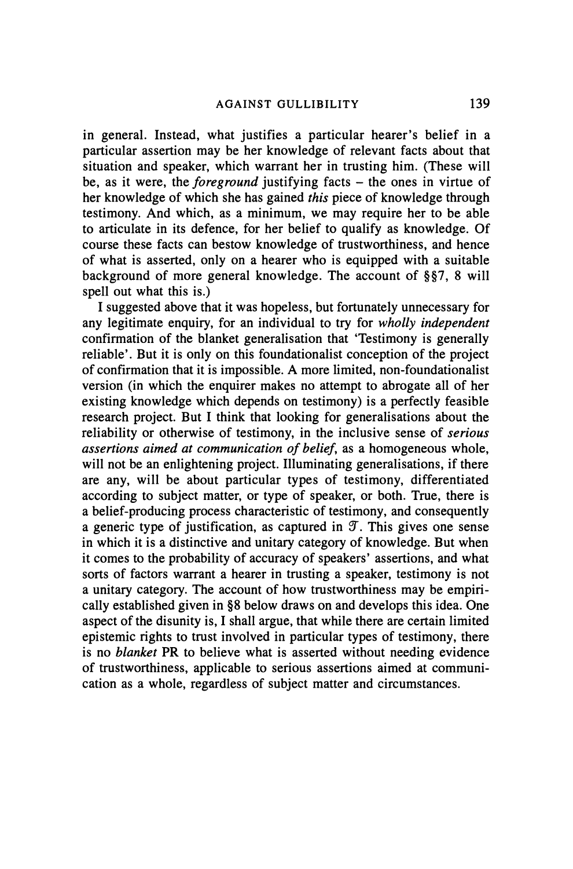in general. Instead, what justifies a particular hearer's belief in a particular assertion may be her knowledge of relevant facts about that situation and speaker, which warrant her in trusting him. (These will be, as it were, the *foreground* justifying facts – the ones in virtue of her knowledge of which she has gained *this* piece of knowledge through testimony. And which, as a minimum, we may require her to be able to articulate in its defence, for her belief to qualify as knowledge. Of course these facts can bestow knowledge of trustworthiness, and hence of what is asserted, only on a hearer who is equipped with a suitable background of more general knowledge. The account of §§7, 8 will spell out what this is.)

I suggested above that it was hopeless, but fortunately unnecessary for any legitimate enquiry, for an individual to try for *wholly independent*  confirmation of the blanket generalisation that 'Testimony is generally reliable'. But it is only on this foundationalist conception of the project of confirmation that it is impossible. A more limited, non-foundationalist version (in which the enquirer makes no attempt to abrogate all of her existing knowledge which depends on testimony) is a perfectly feasible research project. But I think that looking for generalisations about the reliability or otherwise of testimony, in the inclusive sense of *serious assertions aimed at communication of belief,* as a homogeneous whole, will not be an enlightening project. Illuminating generalisations, if there are any, will be about particular types of testimony, differentiated according to subject matter, or type of speaker, or both. True, there is a belief-producing process characteristic of testimony, and consequently a generic type of justification, as captured in  $\mathcal{T}$ . This gives one sense in which it is a distinctive and unitary category of knowledge. But when it comes to the probability of accuracy of speakers' assertions, and what sorts of factors warrant a hearer in trusting a speaker, testimony is not a unitary category. The account of how trustworthiness may be empirically established given in §8 below draws on and develops this idea. One aspect of the disunity is, I shall argue, that while there are certain limited epistemic rights to trust involved in particular types of testimony, there is no *blanket* PR to believe what is asserted without needing evidence of trustworthiness, applicable to serious assertions aimed at communication as a whole, regardless of subject matter and circumstances.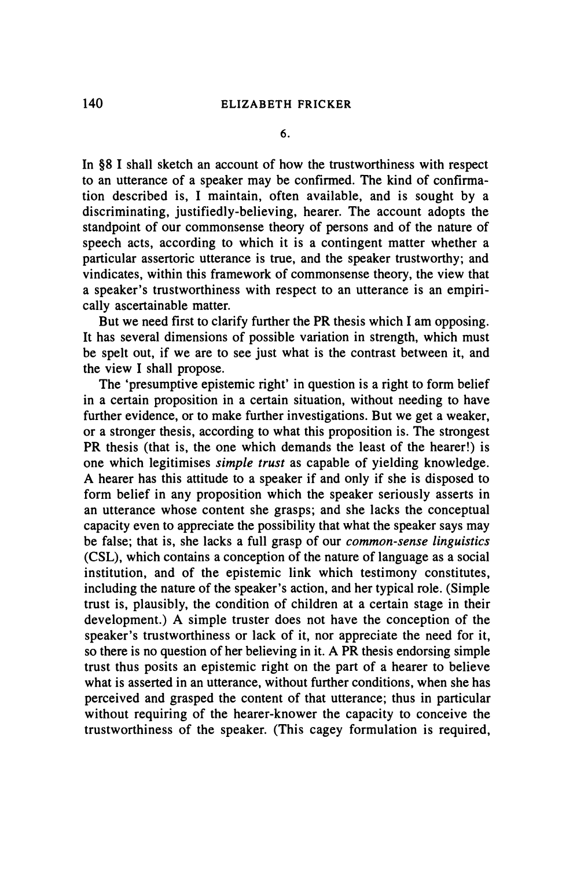6.

In §8 I shall sketch an account of how the trustworthiness with respect to an utterance of a speaker may be confirmed. The kind of confirmation described is, I maintain, often available, and is sought by a discriminating, justifiedly-believing, hearer. The account adopts the standpoint of our commonsense theory of persons and of the nature of speech acts, according to which it is a contingent matter whether a particular assertoric utterance is true, and the speaker trustworthy; and vindicates, within this framework of commonsense theory, the view that a speaker's trustworthiness with respect to an utterance is an empirically ascertainable matter.

But we need first to clarify further the PR thesis which I am opposing. It has several dimensions of possible variation in strength, which must be spelt out, if we are to see just what is the contrast between it, and the view I shall propose.

The 'presumptive epistemic right' in question is a right to form belief in a certain proposition in a certain situation, without needing to have further evidence, or to make further investigations. But we get a weaker, or a stronger thesis, according to what this proposition is. The strongest PR thesis (that is, the one which demands the least of the hearer!) is one which legitimises *simple trust* as capable of yielding knowledge. A hearer has this attitude to a speaker if and only if she is disposed to form belief in any proposition which the speaker seriously asserts in an utterance whose content she grasps; and she lacks the conceptual capacity even to appreciate the possibility that what the speaker says may be false; that is, she lacks a full grasp of our *common-sense linguistics*  (CSL), which contains a conception of the nature of language as a social institution, and of the epistemic link which testimony constitutes, including the nature of the speaker's action, and her typical role. (Simple trust is, plausibly, the condition of children at a certain stage in their development.) A simple truster does not have the conception of the speaker's trustworthiness or lack of it, nor appreciate the need for it, so there is no question of her believing in it. A PR thesis endorsing simple trust thus posits an epistemic right on the part of a hearer to believe what is asserted in an utterance, without further conditions, when she has perceived and grasped the content of that utterance; thus in particular without requiring of the hearer-knower the capacity to conceive the trustworthiness of the speaker. (This cagey formulation is required,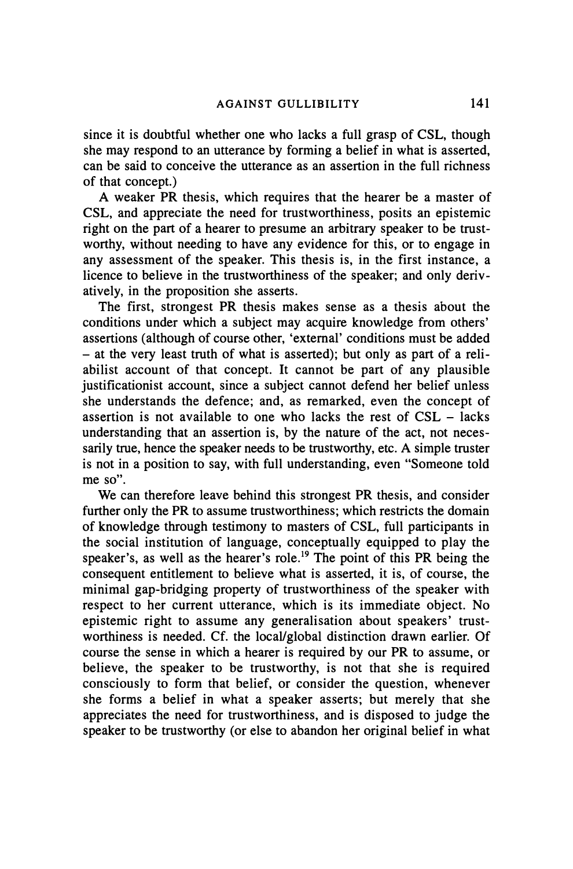since it is doubtful whether one who lacks a full grasp of CSL, though she may respond to an utterance by forming a belief in what is asserted, can be said to conceive the utterance as an assertion in the full richness of that concept.)

A weaker PR thesis, which requires that the hearer be a master of CSL, and appreciate the need for trustworthiness, posits an epistemic right on the part of a hearer to presume an arbitrary speaker to be trustworthy, without needing to have any evidence for this, or to engage in any assessment of the speaker. This thesis is, in the first instance, a licence to believe in the trustworthiness of the speaker; and only derivatively, in the proposition she asserts.

The first, strongest PR thesis makes sense as a thesis about the conditions under which a subject may acquire knowledge from others' assertions (although of course other, 'external' conditions must be added - at the very least truth of what is asserted); but only as part of a reliabilist account of that concept. It cannot be part of any plausible justificationist account, since a subject cannot defend her belief unless she understands the defence; and, as remarked, even the concept of assertion is not available to one who lacks the rest of  $CSL - \text{lacks}$ understanding that an assertion is, by the nature of the act, not necessarily true, hence the speaker needs to be trustworthy, etc. A simple truster is not in a position to say, with full understanding, even "Someone told me so".

We can therefore leave behind this strongest PR thesis, and consider further only the PR to assume trustworthiness; which restricts the domain of knowledge through testimony to masters of CSL, full participants in the social institution of language, conceptually equipped to play the speaker's, as well as the hearer's role.<sup>19</sup> The point of this PR being the consequent entitlement to believe what is asserted, it is, of course, the minimal gap-bridging property of trustworthiness of the speaker with respect to her current utterance, which is its immediate object. No epistemic right to assume any generalisation about speakers' trustworthiness is needed. Cf. the local/global distinction drawn earlier. Of course the sense in which a hearer is required by our PR to assume, or believe, the speaker to be trustworthy, is not that she is required consciously to form that belief, or consider the question, whenever she forms a belief in what a speaker asserts; but merely that she appreciates the need for trustworthiness, and is disposed to judge the speaker to be trustworthy (or else to abandon her original belief in what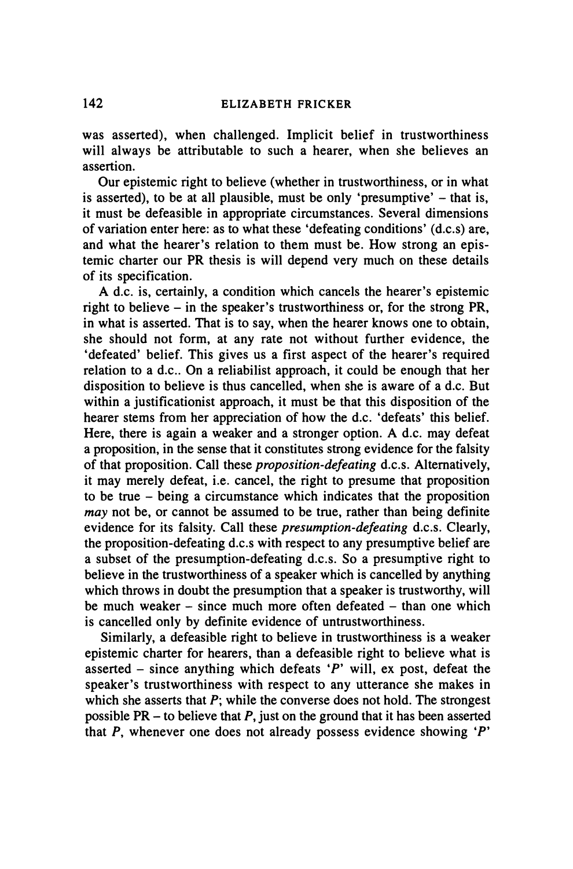was asserted), when challenged. Implicit belief in trustworthiness will always be attributable to such a hearer, when she believes an assertion.

Our epistemic right to believe (whether in trustworthiness, or in what is asserted), to be at all plausible, must be only 'presumptive' - that is, it must be defeasible in appropriate circumstances. Several dimensions of variation enter here: as to what these 'defeating conditions' (d.c.s) are, and what the hearer's relation to them must be. How strong an epistemic charter our PR thesis is will depend very much on these details of its specification.

A d.c. is, certainly, a condition which cancels the hearer's epistemic right to believe  $-$  in the speaker's trustworthiness or, for the strong PR, in what is asserted. That is to say, when the hearer knows one to obtain, she should not form, at any rate not without further evidence, the 'defeated' belief. This gives us a first aspect of the hearer's required relation to a d.c.. On a reliabilist approach, it could be enough that her disposition to believe is thus cancelled, when she is aware of a d.c. But within a justificationist approach, it must be that this disposition of the hearer stems from her appreciation of how the d.c. 'defeats' this belief. Here, there is again a weaker and a stronger option. A d.c. may defeat a proposition, in the sense that it constitutes strong evidence for the falsity of that proposition. Call these *proposition-defeating* d.c.s. Alternatively, it may merely defeat, i.e. cancel, the right to presume that proposition to be true - being a circumstance which indicates that the proposition *may* not be, or cannot be assumed to be true, rather than being definite evidence for its falsity. Call these *presumption-defeating* d.c.s. Clearly, the proposition-defeating d.c.s with respect to any presumptive belief are a subset of the presumption-defeating d.c.s. So a presumptive right to believe in the trustworthiness of a speaker which is cancelled by anything which throws in doubt the presumption that a speaker is trustworthy, will be much weaker  $-$  since much more often defeated  $-$  than one which is cancelled only by definite evidence of untrustworthiness.

Similarly, a defeasible right to believe in trustworthiness is a weaker epistemic charter for hearers, than a defeasible right to believe what is asserted  $-$  since anything which defeats  $P'$  will, ex post, defeat the speaker's trustworthiness with respect to any utterance she makes in which she asserts that *P*; while the converse does not hold. The strongest possible PR - to believe that *P,* just on the ground that it has been asserted that *P,* whenever one does not already possess evidence showing *'P'*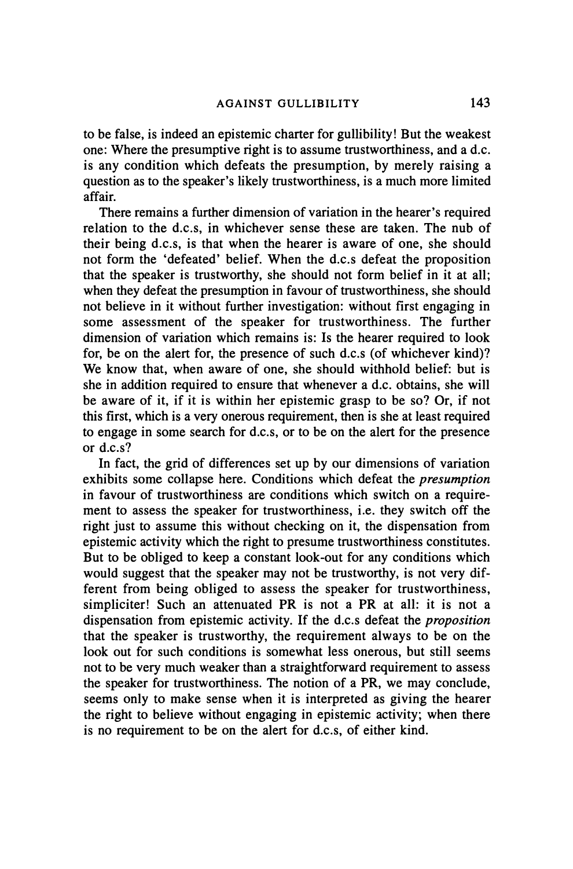to be false, is indeed an epistemic charter for gullibility! But the weakest one: Where the presumptive right is to assume trustworthiness, and a d.c. is any condition which defeats the presumption, by merely raising a question as to the speaker's likely trustworthiness, is a much more limited affair.

There remains a further dimension of variation in the hearer's required relation to the d.c.s, in whichever sense these are taken. The nub of their being d.c.s, is that when the hearer is aware of one, she should not form the 'defeated' belief. When the d.c.s defeat the proposition that the speaker is trustworthy, she should not form belief in it at all; when they defeat the presumption in favour of trustworthiness, she should not believe in it without further investigation: without first engaging in some assessment of the speaker for trustworthiness. The further dimension of variation which remains is: Is the hearer required to look for, be on the alert for, the presence of such d.c.s (of whichever kind)? We know that, when aware of one, she should withhold belief: but is she in addition required to ensure that whenever a d.c. obtains, she will be aware of it, if it is within her epistemic grasp to be so? Or, if not this first, which is a very onerous requirement, then is she at least required to engage in some search for d.c.s, or to be on the alert for the presence or d.c.s?

In fact, the grid of differences set up by our dimensions of variation exhibits some collapse here. Conditions which defeat the *presumption*  in favour of trustworthiness are conditions which switch on a requirement to assess the speaker for trustworthiness, i.e. they switch off the right just to assume this without checking on it, the dispensation from epistemic activity which the right to presume trustworthiness constitutes. But to be obliged to keep a constant look-out for any conditions which would suggest that the speaker may not be trustworthy, is not very different from being obliged to assess the speaker for trustworthiness, simpliciter! Such an attenuated PR is not a PR at all: it is not a dispensation from epistemic activity. If the d.c.s defeat the *proposition*  that the speaker is trustworthy, the requirement always to be on the look out for such conditions is somewhat less onerous, but still seems not to be very much weaker than a straightforward requirement to assess the speaker for trustworthiness. The notion of a PR, we may conclude, seems only to make sense when it is interpreted as giving the hearer the right to believe without engaging in epistemic activity; when there is no requirement to be on the alert for d.c.s, of either kind.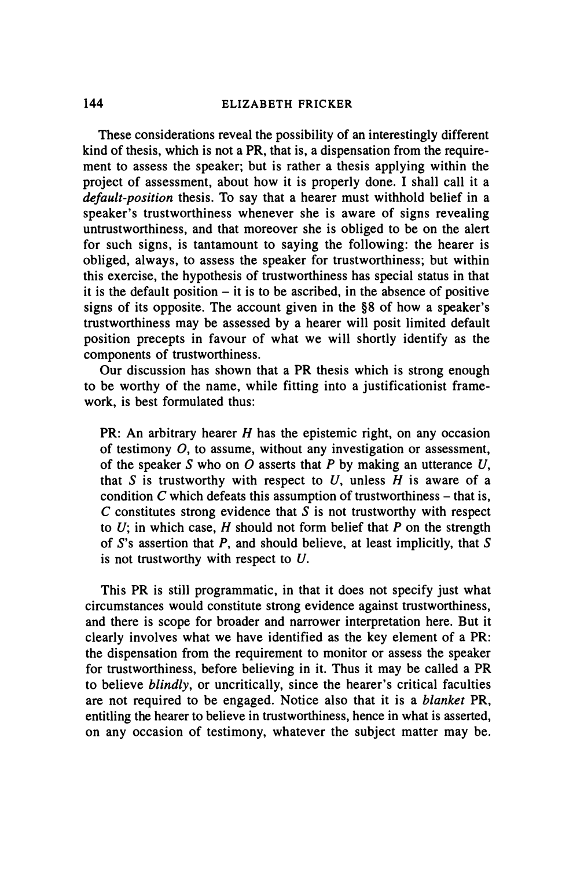# 144 ELIZABETH FRICKER

These considerations reveal the possibility of an interestingly different kind of thesis, which is not a PR, that is, a dispensation from the requirement to assess the speaker; but is rather a thesis applying within the project of assessment, about how it is properly done. I shall call it a *default-position* thesis. To say that a hearer must withhold belief in a speaker's trustworthiness whenever she is aware of signs revealing untrustworthiness, and that moreover she is obliged to be on the alert for such signs, is tantamount to saying the following: the hearer is obliged, always, to assess the speaker for trustworthiness; but within this exercise, the hypothesis of trustworthiness has special status in that it is the default position  $-$  it is to be ascribed, in the absence of positive signs of its opposite. The account given in the §8 of how a speaker's trustworthiness may be assessed by a hearer will posit limited default position precepts in favour of what we will shortly identify as the components of trustworthiness.

Our discussion has shown that a PR thesis which is strong enough to be worthy of the name, while fitting into a justificationist framework, is best formulated thus:

PR: An arbitrary hearer *H* has the epistemic right, on any occasion of testimony *0,* to assume, without any investigation or assessment, of the speaker *S* who on *0* asserts that *P* by making an utterance *U,*  that *S* is trustworthy with respect to *U*, unless  $H$  is aware of a condition  $C$  which defeats this assumption of trustworthiness – that is, C constitutes strong evidence that  $\overline{S}$  is not trustworthy with respect to *U;* in which case, *H* should not form belief that *P* on the strength of S's assertion that *P,* and should believe, at least implicitly, that *S*  is not trustworthy with respect to *U.* 

This PR is still programmatic, in that it does not specify just what circumstances would constitute strong evidence against trustworthiness, and there is scope for broader and narrower interpretation here. But it clearly involves what we have identified as the key element of aPR: the dispensation from the requirement to monitor or assess the speaker for trustworthiness, before believing in it. Thus it may be called a PR to believe *blindly,* or uncritically, since the hearer's critical faculties are not required to be engaged. Notice also that it is a *blanket* PR, entitling the hearer to believe in trustworthiness, hence in what is asserted, on any occasion of testimony, whatever the subject matter may be.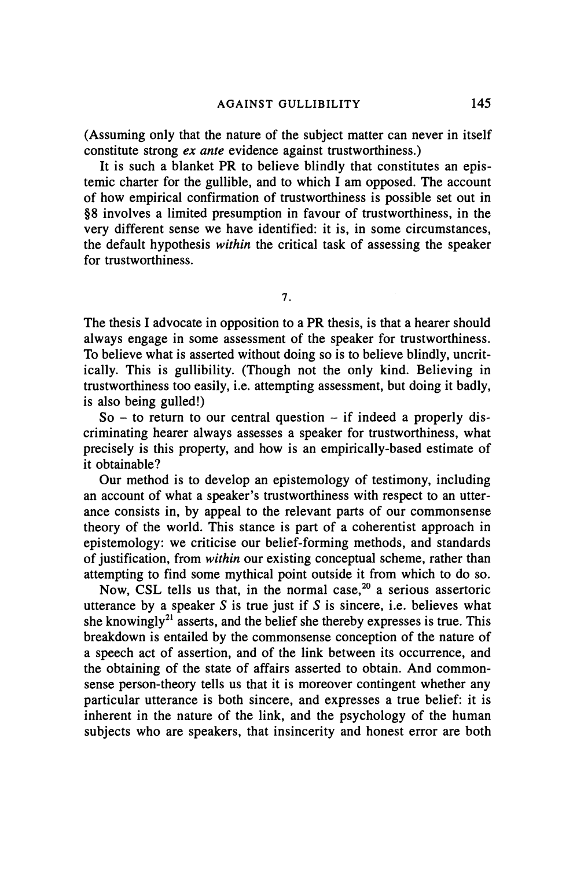(Assuming only that the nature of the subject matter can never in itself constitute strong *ex ante* evidence against trustworthiness.)

It is such a blanket PR to believe blindly that constitutes an epistemic charter for the gullible. and to which I am opposed. The account of how empirical confirmation of trustworthiness is possible set out in §8 involves a limited presumption in favour of trustworthiness. in the very different sense we have identified: it is. in some circumstances. the default hypothesis *within* the critical task of assessing the speaker for trustworthiness.

7.

The thesis I advocate in opposition to a PR thesis. is that a hearer should always engage in some assessment of the speaker for trustworthiness. To believe what is asserted without doing so is to believe blindly. uncritically. This is gullibility. (Though not the only kind. Believing in trustworthiness too easily. i.e. attempting assessment. but doing it badly. is also being gulled!)

 $So - to return to our central question - if indeed a properly dis$ criminating hearer always assesses a speaker for trustworthiness. what precisely is this property. and how is an empirically-based estimate of it obtainable?

Our method is to develop an epistemology of testimony. including an account of what a speaker's trustworthiness with respect to an utterance consists in, by appeal to the relevant parts of our commonsense theory of the world. This stance is part of a coherentist approach in epistemology: we criticise our belief-forming methods, and standards of justification, from *within* our existing conceptual scheme, rather than attempting to find some mythical point outside it from which to do so.

Now, CSL tells us that, in the normal case,  $20$  a serious assertoric utterance by a speaker S is true just if S is sincere, i.e. believes what she knowingly<sup>21</sup> asserts, and the belief she thereby expresses is true. This breakdown is entailed by the commonsense conception of the nature of a speech act of assertion, and of the link between its occurrence, and the obtaining of the state of affairs asserted to obtain. And commonsense person-theory tells us that it is moreover contingent whether any particular utterance is both sincere, and expresses a true belief: it is inherent in the nature of the link, and the psychology of the human subjects who are speakers, that insincerity and honest error are both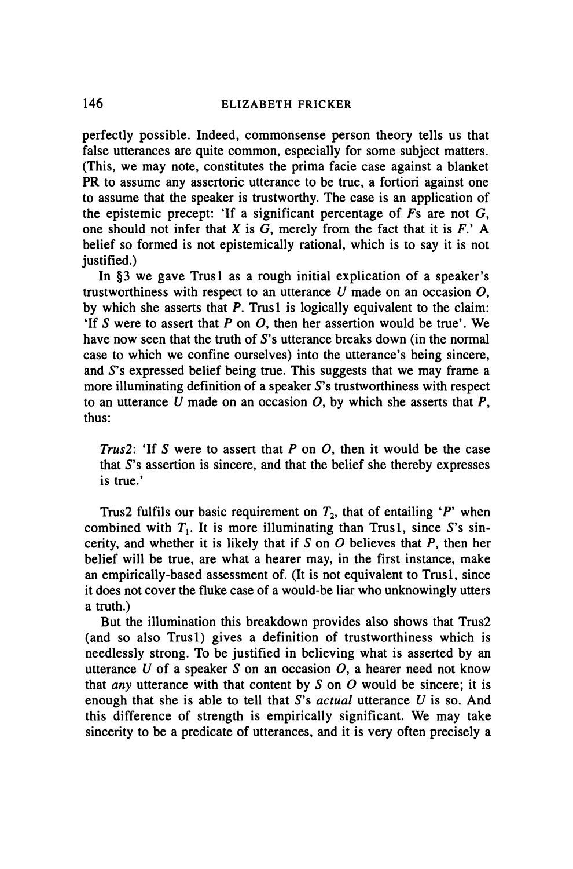perfectly possible. Indeed, commonsense person theory tells us that false utterances are quite common, especially for some subject matters. (This, we may note, constitutes the prima facie case against a blanket PR to assume any assertoric utterance to be true, a fortiori against one to assume that the speaker is trustworthy. The case is an application of the epistemic precept: 'If a significant percentage of  $F_s$  are not  $G_s$ , one should not infer that X is G, merely from the fact that it is *F.'* A belief so formed is not epistemically rational, which is to say it is not justified.)

In §3 we gave Trusl as a rough initial explication of a speaker's trustworthiness with respect to an utterance *U* made on an occasion 0, by which she asserts that *P*. Trus1 is logically equivalent to the claim: 'If S were to assert that *P* on 0, then her assertion would be true'. We have now seen that the truth of S's utterance breaks down (in the normal case to which we confine ourselves) into the utterance's being sincere, and S's expressed belief being true. This suggests that we may frame a more illuminating definition of a speaker S's trustworthiness with respect to an utterance  $\bar{U}$  made on an occasion  $\bar{O}$ , by which she asserts that  $\bar{P}$ , thus:

*Trus2:* 'If S were to assert that *P* on 0, then it would be the case that S's assertion is sincere, and that the belief she thereby expresses is true.'

Trus2 fulfils our basic requirement on  $T_2$ , that of entailing 'P' when combined with  $T_1$ . It is more illuminating than Trus1, since S's sincerity, and whether it is likely that if S on 0 believes that *P,* then her belief will be true, are what a hearer may, in the first instance, make an empirically-based assessment of. (It is not equivalent to Trusl, since it does not cover the fluke case of a would-be liar who unknowingly utters a truth.)

But the illumination this breakdown provides also shows that Trus2 (and so also Trusl) gives a definition of trustworthiness which is needlessly strong. To be justified in believing what is asserted by an utterance  $U$  of a speaker  $S$  on an occasion  $O$ , a hearer need not know that *any* utterance with that content by  $S$  on  $O$  would be sincere; it is enough that she is able to tell that S's *actual* utterance *U* is so. And this difference of strength is empirically significant. We may take sincerity to be a predicate of utterances, and it is very often precisely a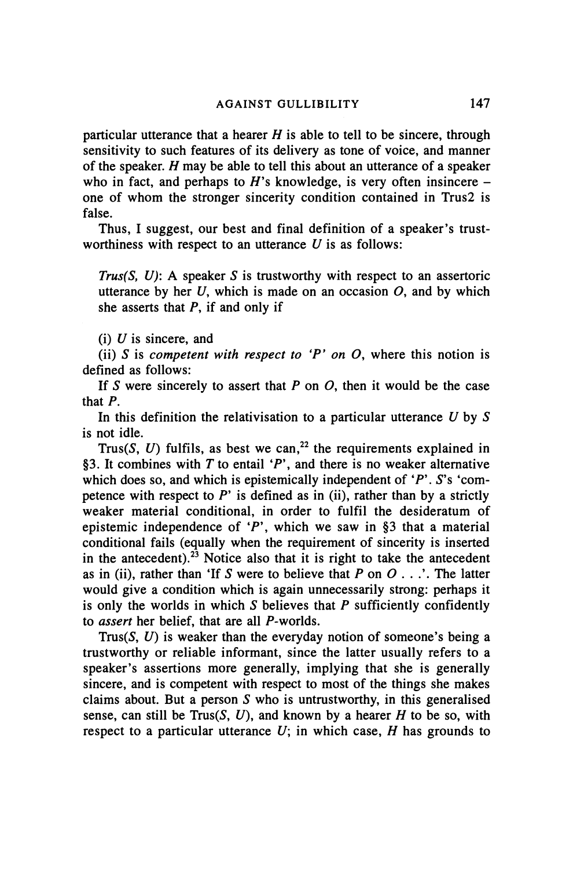particular utterance that a hearer *H* is able to tell to be sincere, through sensitivity to such features of its delivery as tone of voice, and manner of the speaker. *H* may be able to tell this about an utterance of a speaker who in fact, and perhaps to  $H$ 's knowledge, is very often insincere  $$ one of whom the stronger sincerity condition contained in Trus2 is false.

Thus, I suggest, our best and final definition of a speaker's trustworthiness with respect to an utterance *U* is as follows:

*Trus(S, U):* A speaker S is trustworthy with respect to an assertoric utterance by her *U,* which is made on an occasion *0,* and by which she asserts that *P,* if and only if

(i) *U* is sincere, and

(ii) S is *competent with respect to 'P' on O*, where this notion is defined as follows:

If S were sincerely to assert that *P* on *0,* then it would be the case that *P.* 

In this definition the relativisation to a particular utterance *U* by S is not idle.

Trus(S, U) fulfils, as best we can,<sup>22</sup> the requirements explained in §3. It combines with *T* to entail *'P',* and there is no weaker alternative which does so, and which is epistemically independent of 'P'. *S*'s 'competence with respect to *P'* is defined as in (ii), rather than by a strictly weaker material conditional, in order to fulfil the desideratum of epistemic independence of *'P',* which we saw in §3 that a material conditional fails (equally when the requirement of sincerity is inserted in the antecedent).<sup>23</sup> Notice also that it is right to take the antecedent as in (ii), rather than 'If S were to believe that *P* on *0* ... '. The latter would give a condition which is again unnecessarily strong: perhaps it is only the worlds in which S believes that *P* sufficiently confidently to *assert* her belief, that are all P-worlds.

Trus(S, *U)* is weaker than the everyday notion of someone's being a trustworthy or reliable informant, since the latter usually refers to a speaker's assertions more generally, implying that she is generally sincere, and is competent with respect to most of the things she makes claims about. But a person S who is untrustworthy, in this generalised sense, can still be Trus(S, U), and known by a hearer  $H$  to be so, with respect to a particular utterance *U;* in which case, *H* has grounds to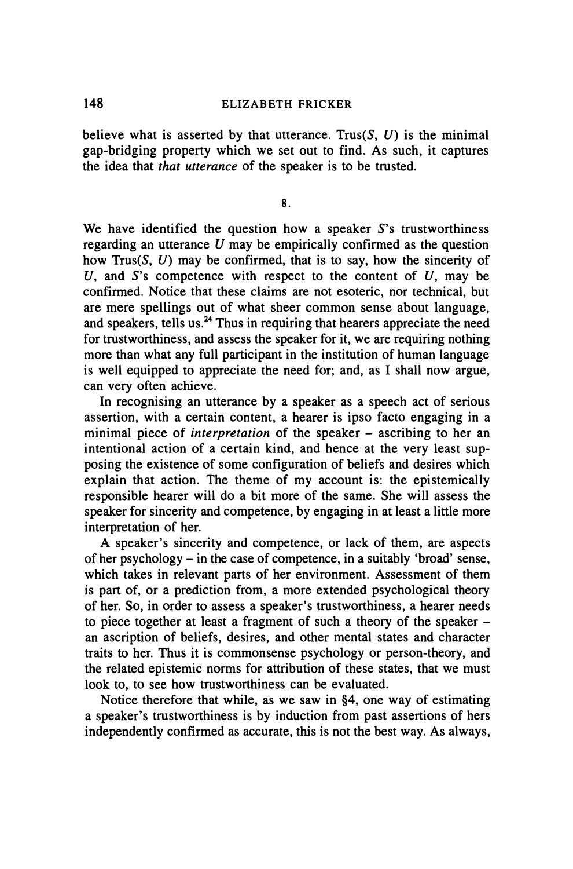# 148 ELIZABETH FRICKER

believe what is asserted by that utterance. Trus $(S, U)$  is the minimal gap-bridging property which we set out to find. As such, it captures the idea that *that utterance* of the speaker is to be trusted.

8.

We have identified the question how a speaker *S's* trustworthiness regarding an utterance *U* may be empirically confirmed as the question how Trus(S, *U)* may be confirmed, that is to say, how the sincerity of *U,* and *S's* competence with respect to the content of *U,* may be confirmed. Notice that these claims are not esoteric, nor technical, but are mere spellings out of what sheer common sense about language, and speakers, tells us.<sup>24</sup> Thus in requiring that hearers appreciate the need for trustworthiness, and assess the speaker for it, we are requiring nothing more than what any full participant in the institution of human language is well equipped to appreciate the need for; and, as I shall now argue, can very often achieve.

In recognising an utterance by a speaker as a speech act of serious assertion, with a certain content, a hearer is ipso facto engaging in a minimal piece of *interpretation* of the speaker – ascribing to her an intentional action of a certain kind, and hence at the very least supposing the existence of some configuration of beliefs and desires which explain that action. The theme of my account is: the epistemically responsible hearer will do a bit more of the same. She will assess the speaker for sincerity and competence, by engaging in at least a little more interpretation of her.

A speaker's sincerity and competence, or lack of them, are aspects of her psychology - in the case of competence, in a suitably 'broad' sense, which takes in relevant parts of her environment. Assessment of them is part of, or a prediction from, a more extended psychological theory of her. So, in order to assess a speaker's trustworthiness, a hearer needs to piece together at least a fragment of such a theory of the speaker  $$ an ascription of beliefs, desires, and other mental states and character traits to her. Thus it is commonsense psychology or person-theory, and the related epistemic norms for attribution of these states, that we must look to, to see how trustworthiness can be evaluated.

Notice therefore that while, as we saw in §4, one way of estimating a speaker's trustworthiness is by induction from past assertions of hers independently confirmed as accurate, this is not the best way. As always.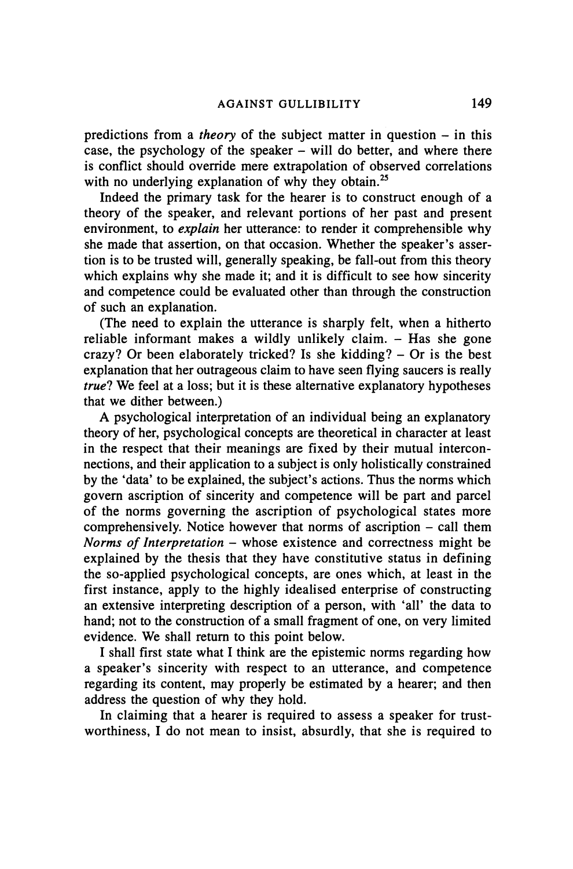predictions from a *theory* of the subject matter in question – in this case, the psychology of the speaker  $-$  will do better, and where there is conflict should override mere extrapolation of observed correlations with no underlying explanation of why they obtain.<sup>25</sup>

Indeed the primary task for the hearer is to construct enough of a theory of the speaker, and relevant portions of her past and present environment, to *explain* her utterance: to render it comprehensible why she made that assertion, on that occasion. Whether the speaker's assertion is to be trusted will, generally speaking, be fall-out from this theory which explains why she made it; and it is difficult to see how sincerity and competence could be evaluated other than through the construction of such an explanation.

(The need to explain the utterance is sharply felt, when a hitherto reliable informant makes a wildly unlikely claim. - Has she gone crazy? Or been elaborately tricked? Is she kidding?  $-$  Or is the best explanation that her outrageous claim to have seen flying saucers is really *true?* We feel at a loss; but it is these alternative explanatory hypotheses that we dither between.)

A psychological interpretation of an individual being an explanatory theory of her, psychological concepts are theoretical in character at least in the respect that their meanings are fixed by their mutual interconnections, and their application to a subject is only holistically constrained by the 'data' to be explained, the subject's actions. Thus the norms which govern ascription of sincerity and competence will be part and parcel of the norms governing the ascription of psychological states more comprehensively. Notice however that norms of ascription – call them *Norms of Interpretation* – whose existence and correctness might be explained by the thesis that they have constitutive status in defining the so-applied psychological concepts, are ones which, at least in the first instance, apply to the highly idealised enterprise of constructing an extensive interpreting description of a person, with 'all' the data to hand; not to the construction of a small fragment of one, on very limited evidence. We shall return to this point below.

I shall first state what I think are the epistemic norms regarding how a speaker's sincerity with respect to an utterance, and competence regarding its content, may properly be estimated by a hearer; and then address the question of why they hold.

In claiming that a hearer is required to assess a speaker for trustworthiness, I do not mean to insist, absurdly, that she is required to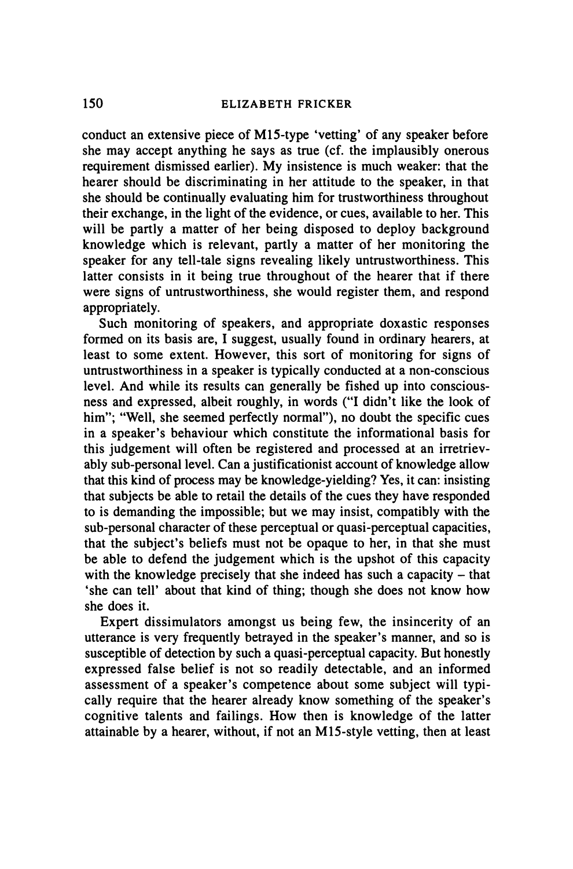conduct an extensive piece of MIS-type 'vetting' of any speaker before she may accept anything he says as true (cf. the implausibly onerous requirement dismissed earlier). My insistence is much weaker: that the hearer should be discriminating in her attitude to the speaker, in that she should be continually evaluating him for trustworthiness throughout their exchange, in the light of the evidence, or cues, available to her. This will be partly a matter of her being disposed to deploy background knowledge which is relevant, partly a matter of her monitoring the speaker for any tell-tale signs revealing likely untrustworthiness. This latter consists in it being true throughout of the hearer that if there were signs of untrustworthiness, she would register them, and respond appropriately.

Such monitoring of speakers, and appropriate doxastic responses formed on its basis are, 1 suggest, usually found in ordinary hearers, at least to some extent. However, this sort of monitoring for signs of untrustworthiness in a speaker is typically conducted at a non-conscious level. And while its results can generally be fished up into consciousness and expressed, albeit roughly, in words ("I didn't like the look of him"; "Well, she seemed perfectly normal"), no doubt the specific cues in a speaker's behaviour which constitute the informational basis for this judgement will often be registered and processed at an irretrievably sub-personal level. Can a justificationist account of knowledge allow that this kind of process may be knowledge-yielding? Yes, it can: insisting that subjects be able to retail the details of the cues they have responded to is demanding the impossible; but we may insist, compatibly with the sub-personal character of these perceptual or quasi-perceptual capacities, that the subject's beliefs must not be opaque to her, in that she must be able to defend the judgement which is the upshot of this capacity with the knowledge precisely that she indeed has such a capacity  $-$  that 'she can tell' about that kind of thing; though she does not know how she does it.

Expert dissimulators amongst us being few, the insincerity of an utterance is very frequently betrayed in the speaker's manner, and so is susceptible of detection by such a quasi-perceptual capacity. But honestly expressed false belief is not so readily detectable, and an informed assessment of a speaker's competence about some subject will typically require that the hearer already know something of the speaker's cognitive talents and failings. How then is knowledge of the latter attainable by a hearer, without, if not an MIS-style vetting, then at least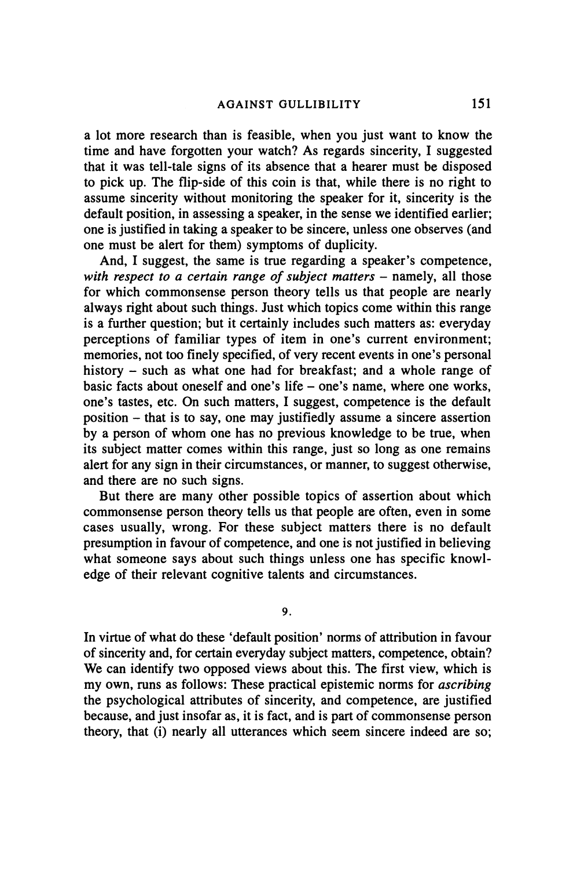a lot more research than is feasible, when you just want to know the time and have forgotten your watch? As regards sincerity, I suggested that it was tell-tale signs of its absence that a hearer must be disposed to pick up. The flip-side of this coin is that, while there is no right to assume sincerity without monitoring the speaker for it, sincerity is the default position, in assessing a speaker, in the sense we identified earlier; one is justified in taking a speaker to be sincere, unless one observes (and one must be alert for them) symptoms of duplicity.

And, I suggest, the same is true regarding a speaker's competence, with respect to a certain range of subject matters – namely, all those for which commonsense person theory tells us that people are nearly always right about such things. Just which topics come within this range is a further question; but it certainly includes such matters as: everyday perceptions of familiar types of item in one's current environment; memories, not too finely specified, of very recent events in one's personal history – such as what one had for breakfast; and a whole range of basic facts about oneself and one's life - one's name, where one works, one's tastes, etc. On such matters, I suggest, competence is the default position - that is to say, one may justifiedly assume a sincere assertion by a person of whom one has no previous knowledge to be true, when its subject matter comes within this range, just so long as one remains alert for any sign in their circumstances, or manner, to suggest otherwise, and there are no such signs.

But there are many other possible topics of assertion about which commonsense person theory tells us that people are often, even in some cases usually, wrong. For these subject matters there is no default presumption in favour of competence, and one is not justified in believing what someone says about such things unless one has specific knowledge of their relevant cognitive talents and circumstances.

9.

In virtue of what do these 'default position' norms of attribution in favour of sincerity and, for certain everyday subject matters, competence, obtain? We can identify two opposed views about this. The first view, which is my own, runs as follows: These practical epistemic norms for *ascribing*  the psychological attributes of sincerity, and competence, are justified because, and just insofar as, it is fact, and is part of commonsense person theory, that (i) nearly all utterances which seem sincere indeed are so;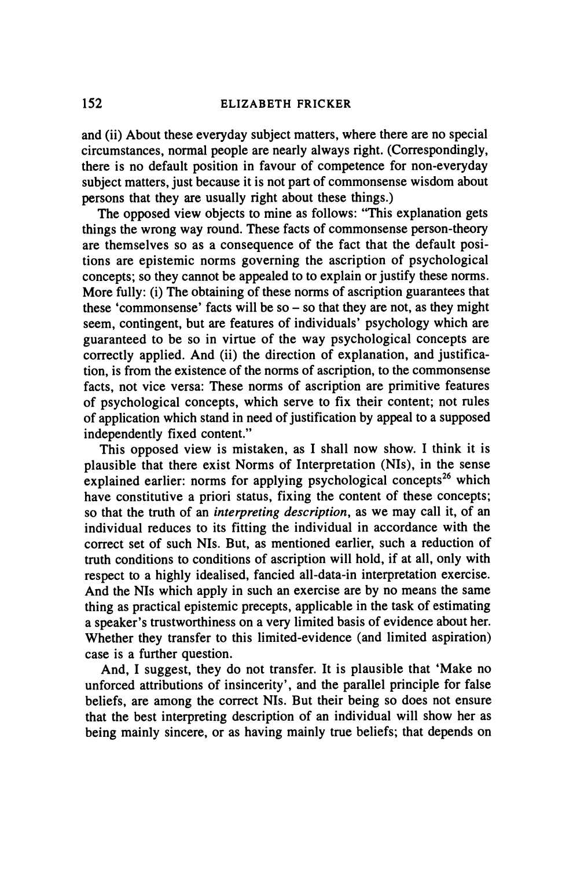and (ii) About these everyday subject matters, where there are no special circumstances, normal people are nearly always right. (Correspondingly, there is no default position in favour of competence for non-everyday subject matters, just because it is not part of commonsense wisdom about persons that they are usually right about these things.)

The opposed view objects to mine as follows: "This explanation gets things the wrong way round. These facts of commonsense person-theory are themselves so as a consequence of the fact that the default positions are epistemic norms governing the ascription of psychological concepts; so they cannot be appealed to to explain or justify these norms. More fully: (i) The obtaining of these norms of ascription guarantees that these 'commonsense' facts will be  $so - so$  that they are not, as they might seem, contingent, but are features of individuals' psychology which are guaranteed to be so in virtue of the way psychological concepts are correctly applied. And (ii) the direction of explanation, and justification, is from the existence of the norms of ascription, to the commonsense facts, not vice versa: These norms of ascription are primitive features of psychological concepts, which serve to fix their content; not rules of application which stand in need of justification by appeal to a supposed independently fixed content."

This opposed view is mistaken, as I shall now show. I think it is plausible that there exist Norms of Interpretation (Nls), in the sense explained earlier: norms for applying psychological concepts<sup>26</sup> which have constitutive a priori status, fixing the content of these concepts; so that the truth of an *interpreting description,* as we may call it, of an individual reduces to its fitting the individual in accordance with the correct set of such Nls. But, as mentioned earlier, such a reduction of truth conditions to conditions of ascription will hold, if at all, only with respect to a highly idealised, fancied all-data-in interpretation exercise. And the NIs which apply in such an exercise are by no means the same thing as practical epistemic precepts, applicable in the task of estimating a speaker's trustworthiness on a very limited basis of evidence about her. Whether they transfer to this limited-evidence (and limited aspiration) case is a further question.

And, I suggest, they do not transfer. It is plausible that 'Make no unforced attributions of insincerity', and the parallel principle for false beliefs, are among the correct Nls. But their being so does not ensure that the best interpreting description of an individual will show her as being mainly sincere, or as having mainly true beliefs; that depends on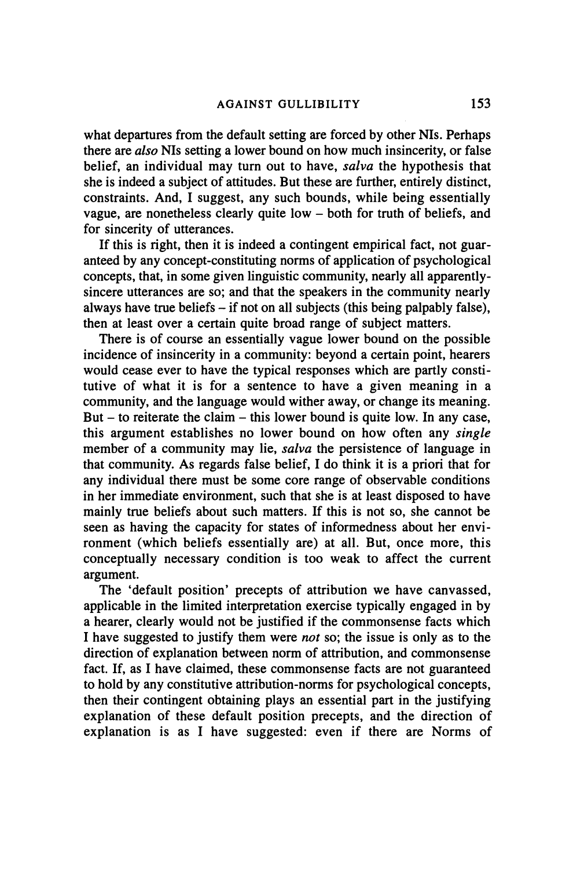what departures from the default setting are forced by other NIs. Perhaps there are *also* NIs setting a lower bound on how much insincerity, or false belief, an individual may turn out to have, *salva* the hypothesis that she is indeed a subject of attitudes. But these are further, entirely distinct, constraints. And, I suggest, any such bounds, while being essentially vague, are nonetheless clearly quite low - both for truth of beliefs, and for sincerity of utterances.

If this is right, then it is indeed a contingent empirical fact, not guaranteed by any concept-constituting norms of application of psychological concepts, that, in some given linguistic community, nearly all apparentlysincere utterances are so; and that the speakers in the community nearly always have true beliefs  $-$  if not on all subjects (this being palpably false), then at least over a certain quite broad range of subject matters.

There is of course an essentially vague lower bound on the possible incidence of insincerity in a community: beyond a certain point, hearers would cease ever to have the typical responses which are partly constitutive of what it is for a sentence to have a given meaning in a community, and the language would wither away, or change its meaning. But  $-$  to reiterate the claim  $-$  this lower bound is quite low. In any case, this argument establishes no lower bound on how often any *single*  member of a community may lie, *salva* the persistence of language in that community. As regards false belief, I do think it is a priori that for any individual there must be some core range of observable conditions in her immediate environment, such that she is at least disposed to have mainly true beliefs about such matters. If this is not so, she cannot be seen as having the capacity for states of informedness about her environment (which beliefs essentially are) at all. But, once more, this conceptually necessary condition is too weak to affect the current argument.

The 'default position' precepts of attribution we have canvassed, applicable in the limited interpretation exercise typically engaged in by a hearer, clearly would not be justified if the commonsense facts which I have suggested to justify them were *not* so; the issue is only as to the direction of explanation between norm of attribution, and commonsense fact. If, as I have claimed, these commonsense facts are not guaranteed to hold by any constitutive attribution-norms for psychological concepts, then their contingent obtaining plays an essential part in the justifying explanation of these default position precepts, and the direction of explanation is as I have suggested: even if there are Norms of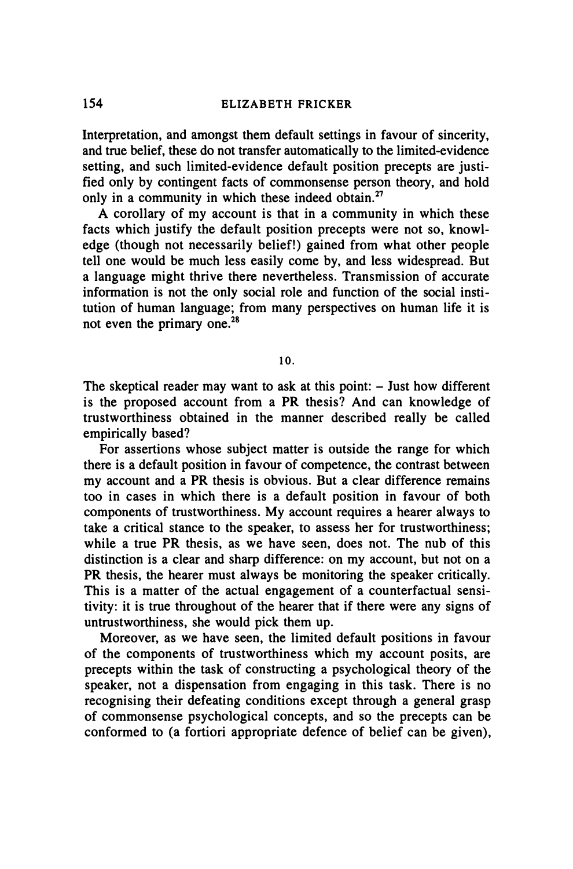# 154 ELIZABETH FRICKER

Interpretation, and amongst them default settings in favour of sincerity, and true belief, these do not transfer automatically to the limited-evidence setting, and such limited-evidence default position precepts are justified only by contingent facts of commonsense person theory, and hold only in a community in which these indeed obtain.<sup>27</sup>

A corollary of my account is that in a community in which these facts which justify the default position precepts were not so, knowledge (though not necessarily belief!) gained from what other people tell one would be much less easily come by, and less widespread. But a language might thrive there nevertheless. Transmission of accurate information is not the only social role and function of the social institution of human language; from many perspectives on human life it is not even the primary one.28

10.

The skeptical reader may want to ask at this point: - Just how different is the proposed account from a PR thesis? And can knowledge of trustworthiness obtained in the manner described really be called empirically based?

For assertions whose subject matter is outside the range for which there is a default position in favour of competence, the contrast between my account and a PR thesis is obvious. But a clear difference remains too in cases in which there is a default position in favour of both components of trustworthiness. My account requires a hearer always to take a critical stance to the speaker, to assess her for trustworthiness; while a true PR thesis, as we have seen, does not. The nub of this distinction is a clear and sharp difference: on my account, but not on a PR thesis, the hearer must always be monitoring the speaker critically. This is a matter of the actual engagement of a counterfactual sensitivity: it is true throughout of the hearer that if there were any signs of untrustworthiness, she would pick them up.

Moreover, as we have seen, the limited default positions in favour of the components of trustworthiness which my account posits, are precepts within the task of constructing a psychological theory of the speaker, not a dispensation from engaging in this task. There is no recognising their defeating conditions except through a general grasp of commonsense psychological concepts, and so the precepts can be conformed to (a fortiori appropriate defence of belief can be given),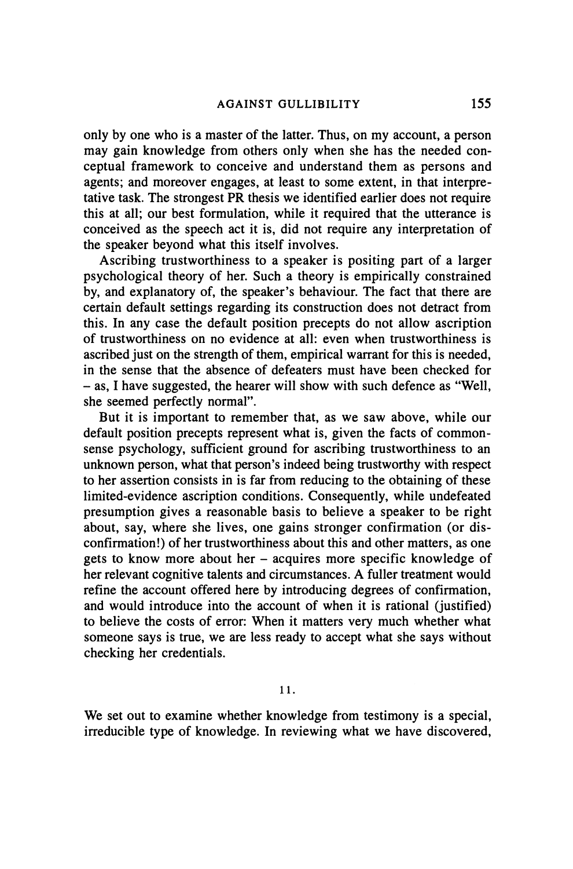only by one who is a master of the latter. Thus, on my account, a person may gain knowledge from others only when she has the needed conceptual framework to conceive and understand them as persons and agents; and moreover engages, at least to some extent, in that interpretative task. The strongest PR thesis we identified earlier does not require this at all; our best formulation, while it required that the utterance is conceived as the speech act it is, did not require any interpretation of the speaker beyond what this itself involves.

Ascribing trustworthiness to a speaker is positing part of a larger psychological theory of her. Such a theory is empirically constrained by, and explanatory of, the speaker's behaviour. The fact that there are certain default settings regarding its construction does not detract from this. In any case the default position precepts do not allow ascription of trustworthiness on no evidence at all: even when trustworthiness is ascribed just on the strength of them, empirical warrant for this is needed, in the sense that the absence of defeaters must have been checked for - as, I have suggested, the hearer will show with such defence as "Well, she seemed perfectly normal".

But it is important to remember that, as we saw above, while our default position precepts represent what is, given the facts of commonsense psychology, sufficient ground for ascribing trustworthiness to an unknown person, what that person's indeed being trustworthy with respect to her assertion consists in is far from reducing to the obtaining of these limited-evidence ascription conditions. Consequently, while undefeated presumption gives a reasonable basis to believe a speaker to be right about, say, where she lives, one gains stronger confirmation (or disconfirmation!) of her trustworthiness about this and other matters, as one gets to know more about her - acquires more specific knowledge of her relevant cognitive talents and circumstances. A fuller treatment would refine the account offered here by introducing degrees of confirmation, and would introduce into the account of when it is rational (justified) to believe the costs of error: When it matters very much whether what someone says is true, we are less ready to accept what she says without checking her credentials.

11.

We set out to examine whether knowledge from testimony is a special, irreducible type of knowledge. In reviewing what we have discovered,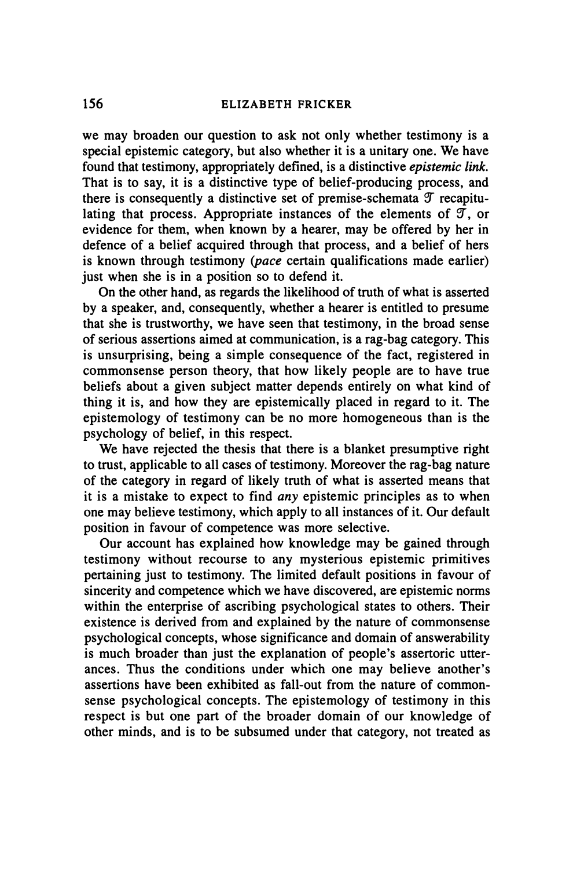we may broaden our question to ask not only whether testimony is a special epistemic category, but also whether it is a unitary one. We have found that testimony, appropriately defined, is a distinctive *epistemic link.*  That is to say, it is a distinctive type of belief-producing process, and there is consequently a distinctive set of premise-schemata  $\mathcal T$  recapitulating that process. Appropriate instances of the elements of  $\overline{\mathcal{T}}$ , or evidence for them, when known by a hearer, may be offered by her in defence of a belief acquired through that process, and a belief of hers is known through testimony *(pace* certain qualifications made earlier) just when she is in a position so to defend it.

On the other hand, as regards the likelihood of truth of what is asserted by a speaker, and, consequently, whether a hearer is entitled to presume that she is trustworthy, we have seen that testimony, in the broad sense of serious assertions aimed at communication, is a rag-bag category. This is unsurprising, being a simple consequence of the fact, registered in commonsense person theory, that how likely people are to have true beliefs about a given subject matter depends entirely on what kind of thing it is, and how they are epistemically placed in regard to it. The epistemology of testimony can be no more homogeneous than is the psychology of belief, in this respect.

We have rejected the thesis that there is a blanket presumptive right to trust, applicable to all cases of testimony. Moreover the rag-bag nature of the category in regard of likely truth of what is asserted means that it is a mistake to expect to find *any* epistemic principles as to when one may believe testimony, which apply to all instances of it. Our default position in favour of competence was more selective.

Our account has explained how knowledge may be gained through testimony without recourse to any mysterious epistemic primitives pertaining just to testimony. The limited default positions in favour of sincerity and competence which we have discovered, are epistemic norms within the enterprise of ascribing psychological states to others. Their existence is derived from and explained by the nature of commonsense psychological concepts, whose significance and domain of answerability is much broader than just the explanation of people's assertoric utterances. Thus the conditions under which one may believe another's assertions have been exhibited as fall-out from the nature of commonsense psychological concepts. The epistemology of testimony in this respect is but one part of the broader domain of our knowledge of other minds, and is to be subsumed under that category, not treated as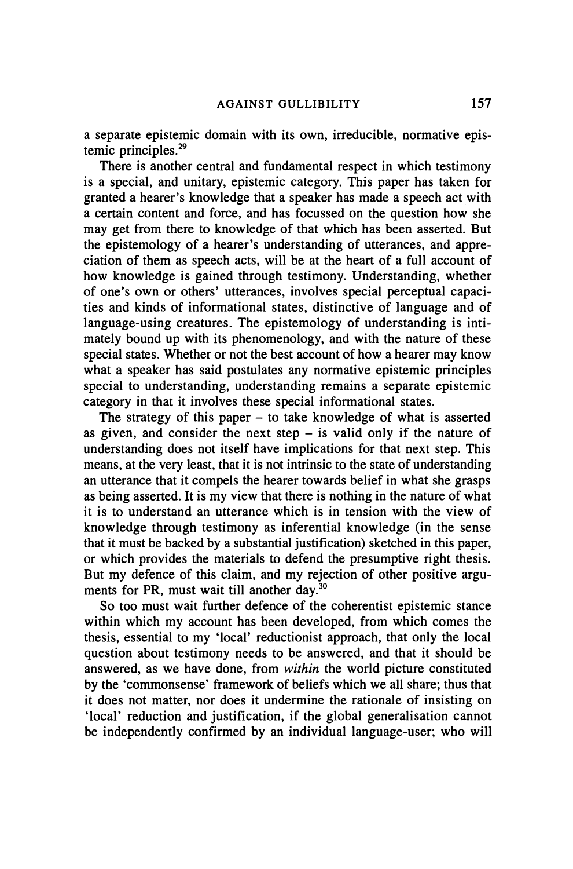a separate epistemic domain with its own, irreducible, normative epistemic principles.<sup>29</sup>

There is another central and fundamental respect in which testimony is a special, and unitary, epistemic category. This paper has taken for granted a hearer's knowledge that a speaker has made a speech act with a certain content and force, and has focussed on the question how she may get from there to knowledge of that which has been asserted. But the epistemology of a hearer's understanding of utterances, and appreciation of them as speech acts, will be at the heart of a full account of how knowledge is gained through testimony. Understanding, whether of one's own or others' utterances, involves special perceptual capacities and kinds of informational states, distinctive of language and of language-using creatures. The epistemology of understanding is intimately bound up with its phenomenology, and with the nature of these special states. Whether or not the best account of how a hearer may know what a speaker has said postulates any normative epistemic principles special to understanding, understanding remains a separate epistemic category in that it involves these special informational states.

The strategy of this paper  $-$  to take knowledge of what is asserted as given, and consider the next step  $-$  is valid only if the nature of understanding does not itself have implications for that next step. This means, at the very least, that it is not intrinsic to the state of understanding an utterance that it compels the hearer towards belief in what she grasps as being asserted. It is my view that there is nothing in the nature of what it is to understand an utterance which is in tension with the view of knowledge through testimony as inferential knowledge (in the sense that it must be backed by a substantial justification) sketched in this paper, or which provides the materials to defend the presumptive right thesis. But my defence of this claim, and my rejection of other positive arguments for PR, must wait till another day.<sup>30</sup>

So too must wait further defence of the coherentist epistemic stance within which my account has been developed, from which comes the thesis, essential to my 'local' reductionist approach, that only the local question about testimony needs to be answered, and that it should be answered, as we have done, from *within* the world picture constituted by the 'commonsense' framework of beliefs which we all share; thus that it does not matter, nor does it undermine the rationale of insisting on 'local' reduction and justification, if the global generalisation cannot be independently confirmed by an individual language-user; who will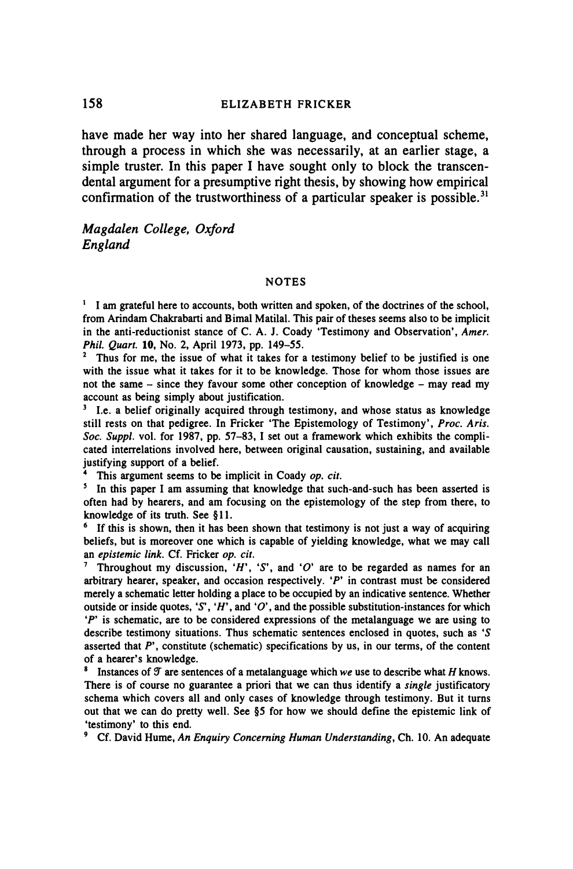# 158 ELIZABETH FRICKER

have made her way into her shared language, and conceptual scheme, through a process in which she was necessarily, at an earlier stage, a simple truster. In this paper I have sought only to block the transcendental argument for a presumptive right thesis, by showing how empirical confirmation of the trustworthiness of a particular speaker is possible.<sup>31</sup>

# *Magdalen College, Oxford England*

#### **NOTES**

 $\frac{1}{1}$  I am grateful here to accounts, both written and spoken, of the doctrines of the school, from Arindam Chakrabarti and Bimal Matilal. This pair of theses seems also to be implicit in the anti-reductionist stance of C. A. J. Coady 'Testimony and Observation', *Amer. Phil. Quart.* 10, No.2, April 1973, pp. *149-55.* 

 $2$  Thus for me, the issue of what it takes for a testimony belief to be justified is one with the issue what it takes for it to be knowledge. Those for whom those issues are not the same - since they favour some other conception of knowledge - may read my account as being simply about justification.

<sup>3</sup> I.e. a belief originally acquired through testimony, and whose status as knowledge still rests on that pedigree. In Fricker 'The Epistemology of Testimony', *Proc. Aris. Soc. Suppl.* vol. for 1987, pp. *57-83,* I set out a framework which exhibits the complicated interrelations involved here, between original causation, sustaining, and available justifying support of a belief.

This argument seems to be implicit in Coady *op. cit.* 

<sup>5</sup> In this paper I am assuming that knowledge that such-and-such has been asserted is often had by hearers, and am focusing on the epistemology of the step from there, to knowledge of its truth. See § 11.

 $6\;$  If this is shown, then it has been shown that testimony is not just a way of acquiring beliefs, but is moreover one which is capable of yielding knowledge, what we may call an *epistemic link.* Cf. Fricker *op. cit.* 

<sup>7</sup> Throughout my discussion,  $H'$ ,  $S'$ , and  $O'$  are to be regarded as names for an arbitrary hearer, speaker, and occasion respectively. *'P'* in contrast must be considered merely a schematic letter holding a place to be occupied by an indicative sentence. Whether outside or inside quotes, *'S', 'H',* and *'0',* and the possible substitution-instances for which *'P'* is schematic, are to be considered expressions of the metalanguage we are using to describe testimony situations. Thus schematic sentences enclosed in quotes, such as 'S asserted that *P',* constitute (schematic) specifications by us, in our terms, of the content of a hearer's knowledge.

<sup>8</sup> Instances of  $\mathcal T$  are sentences of a metalanguage which *we* use to describe what *H* knows. There is of course no guarantee a priori that we can thus identify a *single* justificatory schema which covers all and only cases of knowledge through testimony. But it turns out that we can do pretty well. See *§S* for how we should define the epistemic link of 'testimony' to this end.

9 Cf. David Hume, *An Enquiry Concerning Human Understanding,* Ch. 10. An adequate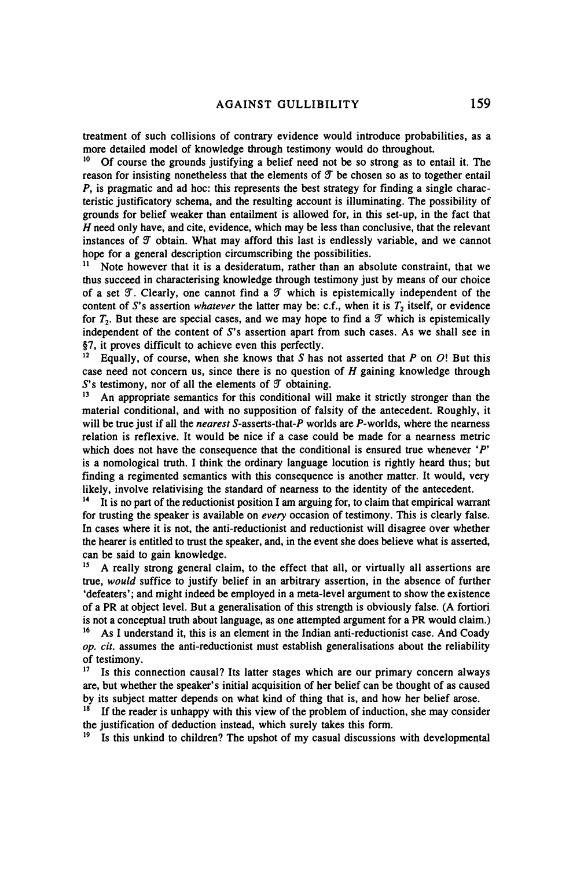treatment of such collisions of contrary evidence would introduce probabilities, as a more detailed model of knowledge through testimony would do throughout.

10 Of course the grounds justifying a belief need not be so strong as to entail it. The reason for insisting nonetheless that the elements of  $\mathcal T$  be chosen so as to together entail *P*, is pragmatic and ad hoc: this represents the best strategy for finding a single characteristic justificatory schema, and the resulting account is illuminating. The possibility of grounds for belief weaker than entailment is allowed for, in this set-up, in the fact that *H* need only have, and cite, evidence, which may be less than conclusive, that the relevant instances of  $\mathcal T$  obtain. What may afford this last is endlessly variable, and we cannot hope for a general description circumscribing the possibilities.

Note however that it is a desideratum, rather than an absolute constraint, that we thus succeed in characterising knowledge through testimony just by means of our choice of a set  $\mathcal{T}$ . Clearly, one cannot find a  $\mathcal{T}$  which is epistemically independent of the content of S's assertion *whatever* the latter may be: c.f., when it is  $T_2$  itself, or evidence for  $T_2$ . But these are special cases, and we may hope to find a  $\mathcal T$  which is epistemically independent of the content of S's assertion apart from such cases. As we shall see in §7, it proves difficult to achieve even this perfectly.

Equally, of course, when she knows that  $S$  has not asserted that  $P$  on  $O!$  But this case need not concern us, since there is no question of *H* gaining knowledge through  $S$ 's testimony, nor of all the elements of  $\mathcal I$  obtaining.

13 An appropriate semantics for this conditional will make it strictly stronger than the material conditional, and with no supposition of falsity of the antecedent. Roughly, it will be true just if all the *nearest S*-asserts-that-P worlds are P-worlds, where the nearness relation is reflexive. It would be nice if a case could be made for a nearness metric which does not have the consequence that the conditional is ensured true whenever 'P' is a nomological truth. I think the ordinary language locution is rightly heard thus; but finding a regimented semantics with this consequence is another matter. It would, very likely, involve relativising the standard of nearness to the identity of the antecedent.

 $14$  It is no part of the reductionist position I am arguing for, to claim that empirical warrant for trusting the speaker is available on *every* occasion of testimony. This is clearly false. In cases where it is not, the anti-reductionist and reductionist will disagree over whether the hearer is entitled to trust the speaker, and, in the event she does believe what is asserted, can be said to gain knowledge.

<sup>15</sup> A really strong general claim, to the effect that all, or virtually all assertions are true, *would* suffice to justify belief in an arbitrary assertion, in the absence of further 'defeaters'; and might indeed be employed in a meta-level argument to show the existence of a PR at object level. But a generalisation of this strength is obviously false. (A fortiori is not a conceptual truth about language, as one attempted argument for a PR would claim.)<br><sup>16</sup> As I understand it this is an element in the Indian anti-reductionist case. And Coady 16 As I understand it, this is an element in the Indian anti-reductionist case. And Coady

*op. cit.* assumes the anti-reductionist must establish generalisations about the reliability of testimony.

<sup>17</sup> Is this connection causal? Its latter stages which are our primary concern always are, but whether the speaker's initial acquisition of her belief can be thought of as caused by its subject matter depends on what kind of thing that is, and how her belief arose.

 $18$  If the reader is unhappy with this view of the problem of induction, she may consider the justification of deduction instead, which surely takes this form.

<sup>19</sup> Is this unkind to children? The upshot of my casual discussions with developmental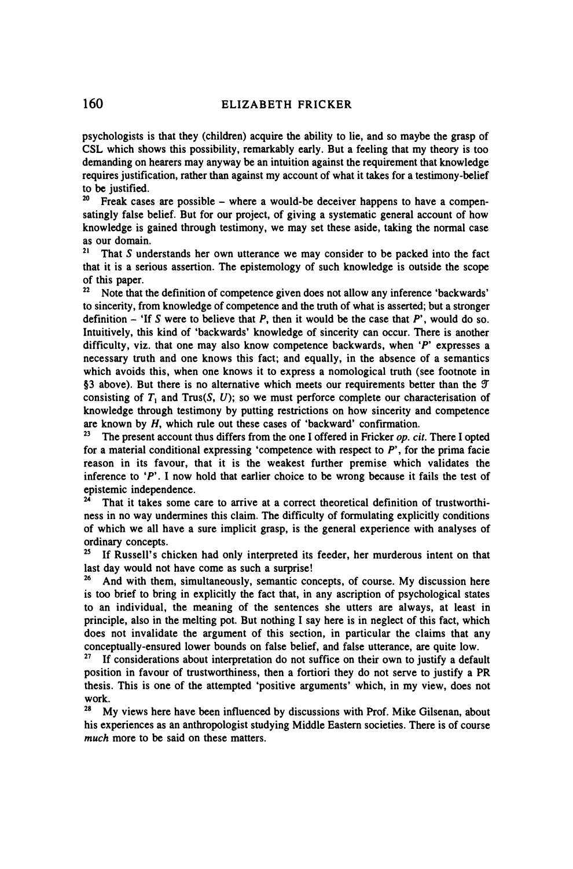psychologists is that they (children) acquire the ability to lie, and so maybe the grasp of CSL which shows this possibility, remarkably early. But a feeling that my theory is too demanding on hearers may anyway be an intuition against the requirement that knowledge requires justification, rather than against my account of what it takes for a testimony-belief to be justified.<br><sup>20</sup> Exaals asses

Freak cases are possible  $-$  where a would-be deceiver happens to have a compensatingly false belief. But for our project, of giving a systematic general account of how knowledge is gained through testimony, we may set these aside, taking the normal case as our domain.<br> $21$  That S und

That  $S$  understands her own utterance we may consider to be packed into the fact that it is a serious assertion. The epistemology of such knowledge is outside the scope of this paper.

<sup>22</sup> Note that the definition of competence given does not allow any inference 'backwards' to sincerity, from knowledge of competence and the truth of what is asserted; but a stronger definition - 'If S were to believe that *P,* then it would be the case that *P',* would do so. Intuitively, this kind of 'backwards' knowledge of sincerity can occur. There is another difficulty, viz. that one may also know competence backwards, when *'P'* expresses a necessary truth and one knows this fact; and equally, in the absence of a semantics which avoids this, when one knows it to express a nomological truth (see footnote in §3 above). But there is no alternative which meets our requirements better than the  $\mathcal T$ consisting of  $T_1$  and Trus(S, U); so we must perforce complete our characterisation of knowledge through testimony by putting restrictions on how sincerity and competence are known by  $H$ , which rule out these cases of 'backward' confirmation.<br><sup>23</sup> The present account thus differs from the one I offered in Fricker on ci-

23 The present account thus differs from the one I offered in Fricker *op. cit.* There I opted for a material conditional expressing 'competence with respect to *P',* for the prima facie reason in its favour, that it is the weakest further premise which validates the inference to *'P'.* I now hold that earlier choice to be wrong because it fails the test of epistemic independence.

That it takes some care to arrive at a correct theoretical definition of trustworthiness in no way undermines this claim. The difficulty of formulating explicitly conditions of which we all have a sure implicit grasp, is the general experience with analyses of ordinary concepts.<br>25 If Pussell's al

23 If Russell's chicken had only interpreted its feeder, her murderous intent on that last day would not have come as such a surprise!<br><sup>26</sup> And with them simultaneously sementic con-

And with them, simultaneously, semantic concepts, of course. My discussion here is too brief to bring in explicitly the fact that, in any ascription of psychological states to an individual, the meaning of the sentences she utters are always, at least in principle, also in the melting pot. But nothing I say here is in neglect of this fact, which does not invalidate the argument of this section, in particular the claims that any conceptually-ensured lower bounds on false belief, and false utterance, are quite low.<br><sup>27</sup> If considerations about interpretation do not suffice on their own to justify a defen

If considerations about interpretation do not suffice on their own to justify a default position in favour of trustworthiness, then a fortiori they do not serve to justify a PR thesis. This is one of the attempted 'positive arguments' which, in my view, does not work.<br><sup>28</sup> M

28 My views here have been influenced by discussions with Prof. Mike Gilsenan, about his experiences as an anthropologist studying Middle Eastern societies. There is of course *much* more to be said on these matters.